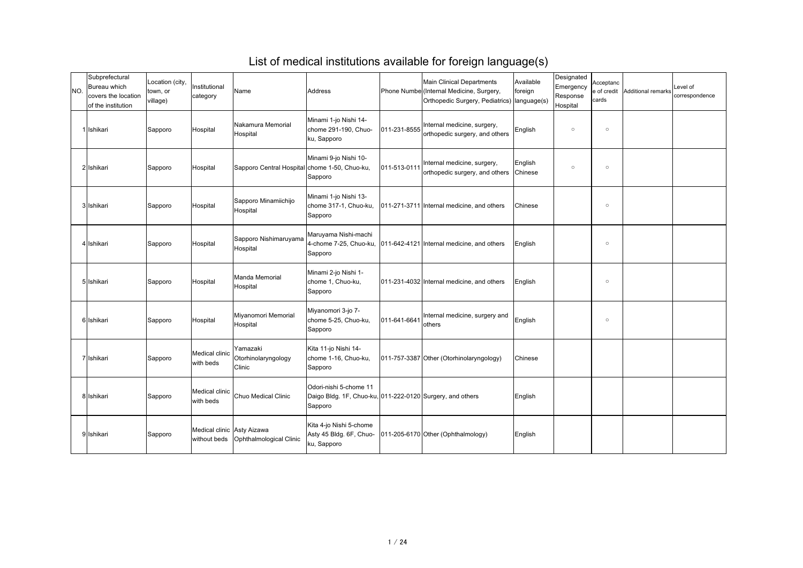| INO. | Subprefectural<br>Bureau which<br>covers the location<br>of the institution | Location (city,<br>town, or<br>village) | Institutional<br>category   | Name                                          | Address                                                                                        |              | <b>Main Clinical Departments</b><br>Phone Numbe (Internal Medicine, Surgery,<br>Orthopedic Surgery, Pediatrics)   language(s) | Available<br>foreign      | Designated<br>Emergency<br>Response<br>Hospital | Acceptanc<br>e of credit<br>cards | Additional remarks | Level of<br>correspondence |
|------|-----------------------------------------------------------------------------|-----------------------------------------|-----------------------------|-----------------------------------------------|------------------------------------------------------------------------------------------------|--------------|-------------------------------------------------------------------------------------------------------------------------------|---------------------------|-------------------------------------------------|-----------------------------------|--------------------|----------------------------|
|      | 1 Ishikari                                                                  | Sapporo                                 | <b>Hospital</b>             | Nakamura Memorial<br>Hospital                 | Minami 1-jo Nishi 14-<br>chome 291-190, Chuo-<br>ku, Sapporo                                   | 011-231-8555 | Internal medicine, surgery,<br>orthopedic surgery, and others                                                                 | English                   | $\circ$                                         | $\circ$                           |                    |                            |
|      | 2 Ishikari                                                                  | Sapporo                                 | Hospital                    | Sapporo Central Hospital chome 1-50, Chuo-ku, | Minami 9-jo Nishi 10-<br>Sapporo                                                               | 011-513-0111 | Internal medicine, surgery,<br>orthopedic surgery, and others                                                                 | English<br><b>Chinese</b> | $\circ$                                         | $\circ$                           |                    |                            |
|      | 3 Ishikari                                                                  | Sapporo                                 | Hospital                    | Sapporo Minamiichijo<br>Hospital              | Minami 1-jo Nishi 13-<br>chome 317-1, Chuo-ku,<br>Sapporo                                      |              | 011-271-3711 Internal medicine, and others                                                                                    | <b>Chinese</b>            |                                                 | $\circ$                           |                    |                            |
|      | 4 Ishikari                                                                  | Sapporo                                 | Hospital                    | Sapporo Nishimaruyama<br>Hospital             | Maruyama Nishi-machi<br>Sapporo                                                                |              | 4-chome 7-25, Chuo-ku, 011-642-4121 Internal medicine, and others                                                             | English                   |                                                 | $\circ$                           |                    |                            |
|      | 5 Ishikari                                                                  | Sapporo                                 | Hospital                    | Manda Memorial<br>Hospital                    | Minami 2-jo Nishi 1-<br>chome 1, Chuo-ku,<br>Sapporo                                           |              | 011-231-4032 Internal medicine, and others                                                                                    | English                   |                                                 | $\circ$                           |                    |                            |
|      | 6 Ishikari                                                                  | Sapporo                                 | Hospital                    | Miyanomori Memorial<br>Hospital               | Miyanomori 3-jo 7-<br>chome 5-25, Chuo-ku,<br>Sapporo                                          | 011-641-6641 | Internal medicine, surgery and<br>others                                                                                      | English                   |                                                 | $\circ$                           |                    |                            |
|      | 7 Ishikari                                                                  | Sapporo                                 | Medical clinic<br>with beds | Yamazaki<br>Otorhinolaryngology<br>Clinic     | Kita 11-jo Nishi 14-<br>chome 1-16, Chuo-ku,<br>Sapporo                                        |              | 011-757-3387 Other (Otorhinolaryngology)                                                                                      | Chinese                   |                                                 |                                   |                    |                            |
|      | 8 Ishikari                                                                  | Sapporo                                 | Medical clinic<br>with beds | Chuo Medical Clinic                           | Odori-nishi 5-chome 11<br>Daigo Bldg. 1F, Chuo-ku, 011-222-0120 Surgery, and others<br>Sapporo |              |                                                                                                                               | English                   |                                                 |                                   |                    |                            |
|      | 9 Ishikari                                                                  | Sapporo                                 | Medical clinic Asty Aizawa  | without beds   Ophthalmological Clinic        | Kita 4-jo Nishi 5-chome<br>Asty 45 Bldg. 6F, Chuo-<br>ku, Sapporo                              |              | 011-205-6170 Other (Ophthalmology)                                                                                            | English                   |                                                 |                                   |                    |                            |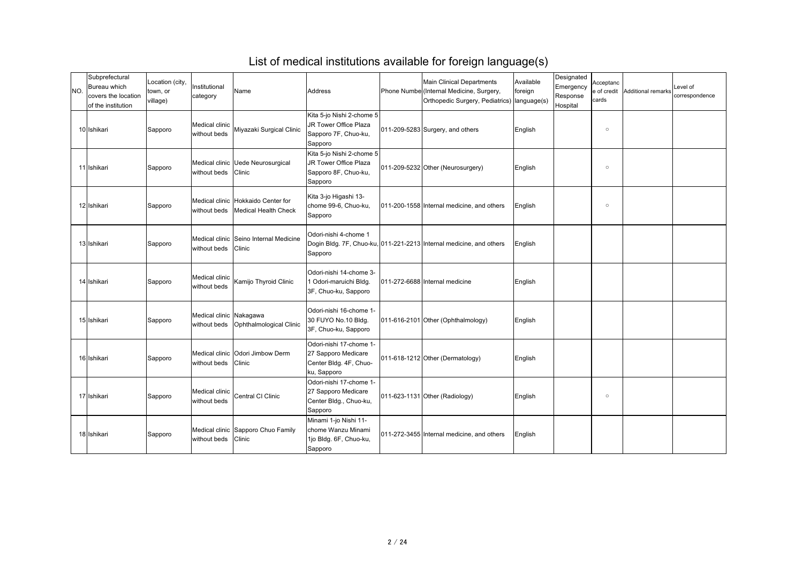| INO. | Subprefectural<br>Bureau which<br>covers the location<br>of the institution | Location (city,<br>town, or<br>village) | Institutional<br>category        | Name                                                                        | Address                                                                                 | <b>Main Clinical Departments</b><br>Phone Numbe (Internal Medicine, Surgery,<br>Orthopedic Surgery, Pediatrics)   language(s) | Available<br>foreign | Designated<br>Emergency<br>Response<br>Hospital | Acceptanc<br>e of credit<br>cards | Additional remarks | Level of<br>correspondence |
|------|-----------------------------------------------------------------------------|-----------------------------------------|----------------------------------|-----------------------------------------------------------------------------|-----------------------------------------------------------------------------------------|-------------------------------------------------------------------------------------------------------------------------------|----------------------|-------------------------------------------------|-----------------------------------|--------------------|----------------------------|
|      | 10 Ishikari                                                                 | Sapporo                                 | Medical clinic  <br>without beds | Miyazaki Surgical Clinic                                                    | Kita 5-jo Nishi 2-chome 5<br>JR Tower Office Plaza<br>Sapporo 7F, Chuo-ku,<br>Sapporo   | 011-209-5283 Surgery, and others                                                                                              | English              |                                                 | $\circ$                           |                    |                            |
|      | 11 Ishikari                                                                 | Sapporo                                 | without beds Clinic              | Medical clinic Uede Neurosurgical                                           | Kita 5-jo Nishi 2-chome 5<br>JR Tower Office Plaza<br>Sapporo 8F, Chuo-ku,<br>Sapporo   | 011-209-5232 Other (Neurosurgery)                                                                                             | English              |                                                 | $\circ$                           |                    |                            |
|      | 12 Ishikari                                                                 | Sapporo                                 |                                  | Medical clinic   Hokkaido Center for<br>without beds   Medical Health Check | Kita 3-jo Higashi 13-<br>chome 99-6, Chuo-ku,<br>Sapporo                                | 011-200-1558 Internal medicine, and others                                                                                    | English              |                                                 | $\circ$                           |                    |                            |
|      | 13 Ishikari                                                                 | Sapporo                                 | without beds Clinic              | Medical clinic  Seino Internal Medicine                                     | Odori-nishi 4-chome 1<br>Sapporo                                                        | Dogin Bldg. 7F, Chuo-ku, 011-221-2213 Internal medicine, and others                                                           | English              |                                                 |                                   |                    |                            |
|      | 14 Ishikari                                                                 | Sapporo                                 |                                  | Medical clinic  <br>Kamijo Thyroid Clinic                                   | Odori-nishi 14-chome 3-<br>Odori-maruichi Bldg.<br>3F, Chuo-ku, Sapporo                 | 011-272-6688 Internal medicine                                                                                                | English              |                                                 |                                   |                    |                            |
|      | 15 Ishikari                                                                 | Sapporo                                 | Medical clinic Nakagawa          | without beds   Ophthalmological Clinic                                      | Odori-nishi 16-chome 1-<br>30 FUYO No.10 Bldg.<br>3F, Chuo-ku, Sapporo                  | 011-616-2101 Other (Ophthalmology)                                                                                            | English              |                                                 |                                   |                    |                            |
|      | 16 Ishikari                                                                 | Sapporo                                 | without beds Clinic              | Medical clinic  Odori Jimbow Derm                                           | Odori-nishi 17-chome 1-<br>27 Sapporo Medicare<br>Center Bldg. 4F, Chuo-<br>ku, Sapporo | 011-618-1212 Other (Dermatology)                                                                                              | English              |                                                 |                                   |                    |                            |
|      | 17 Ishikari                                                                 | Sapporo                                 | without beds                     | Medical clinic Central CI Clinic                                            | Odori-nishi 17-chome 1-<br>27 Sapporo Medicare<br>Center Bldg., Chuo-ku,<br>Sapporo     | 011-623-1131 Other (Radiology)                                                                                                | English              |                                                 | $\circlearrowright$               |                    |                            |
|      | 18 Ishikari                                                                 | Sapporo                                 | without beds Clinic              | Medical clinic  Sapporo Chuo Family                                         | Minami 1-jo Nishi 11-<br>chome Wanzu Minami<br>1jo Bldg. 6F, Chuo-ku,<br>Sapporo        | 011-272-3455 Internal medicine, and others                                                                                    | English              |                                                 |                                   |                    |                            |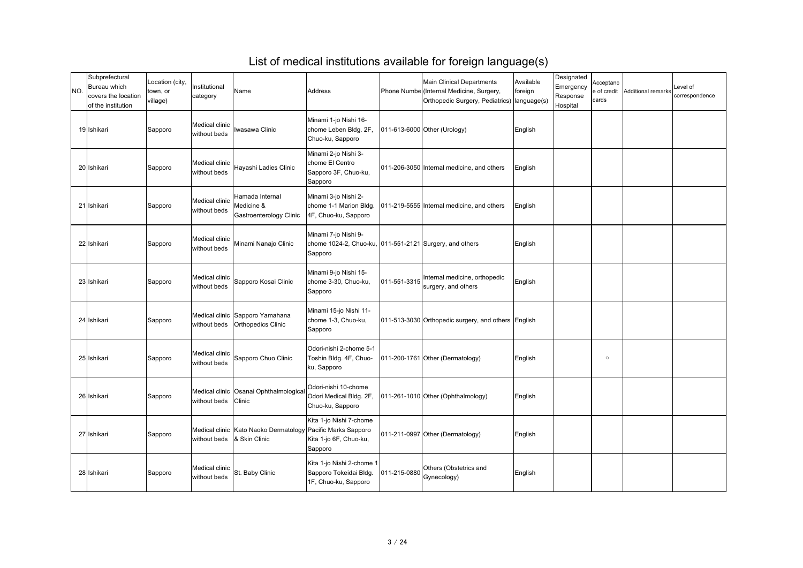| INO. | Subprefectural<br><b>Bureau which</b><br>covers the location<br>of the institution | Location (city,<br>town, or<br>village) | Institutional<br>category      | Name                                                                 | <b>Address</b>                                                                             |              | <b>Main Clinical Departments</b><br>Phone Numbe (Internal Medicine, Surgery,<br>Orthopedic Surgery, Pediatrics)   language(s) | Available<br>foreign | Designated<br>Emergency<br>Response<br>Hospital | Acceptanc<br>e of credit<br>cards | Additional remarks | Level of<br>correspondence |
|------|------------------------------------------------------------------------------------|-----------------------------------------|--------------------------------|----------------------------------------------------------------------|--------------------------------------------------------------------------------------------|--------------|-------------------------------------------------------------------------------------------------------------------------------|----------------------|-------------------------------------------------|-----------------------------------|--------------------|----------------------------|
|      | 19 Ishikari                                                                        | Sapporo                                 | Medical clinic<br>without beds | Iwasawa Clinic                                                       | Minami 1-jo Nishi 16-<br>chome Leben Bldg. 2F,<br>Chuo-ku, Sapporo                         |              | 011-613-6000 Other (Urology)                                                                                                  | English              |                                                 |                                   |                    |                            |
|      | 20 Ishikari                                                                        | Sapporo                                 | Medical clinic<br>without beds | Hayashi Ladies Clinic                                                | Minami 2-jo Nishi 3-<br>chome El Centro<br>Sapporo 3F, Chuo-ku,<br>Sapporo                 |              | 011-206-3050 Internal medicine, and others                                                                                    | English              |                                                 |                                   |                    |                            |
|      | 21 Ishikari                                                                        | Sapporo                                 | Medical clinic<br>without beds | Hamada Internal<br>Medicine &<br><b>Gastroenterology Clinic</b>      | Minami 3-jo Nishi 2-<br>chome 1-1 Marion Bldg.<br>4F, Chuo-ku, Sapporo                     |              | 011-219-5555 Internal medicine, and others                                                                                    | English              |                                                 |                                   |                    |                            |
|      | 22 Ishikari                                                                        | Sapporo                                 | Medical clinic<br>without beds | Minami Nanajo Clinic                                                 | Minami 7-jo Nishi 9-<br>chome 1024-2, Chuo-ku, 011-551-2121 Surgery, and others<br>Sapporo |              |                                                                                                                               | English              |                                                 |                                   |                    |                            |
|      | 23 Ishikari                                                                        | Sapporo                                 | Medical clinic<br>without beds | Sapporo Kosai Clinic                                                 | Minami 9-jo Nishi 15-<br>chome 3-30, Chuo-ku,<br>Sapporo                                   | 011-551-3315 | Internal medicine, orthopedic<br>surgery, and others                                                                          | English              |                                                 |                                   |                    |                            |
|      | 24 Ishikari                                                                        | Sapporo                                 |                                | Medical clinic Sapporo Yamahana<br>without beds   Orthopedics Clinic | Minami 15-jo Nishi 11-<br>chome 1-3, Chuo-ku,<br>Sapporo                                   |              | 011-513-3030 Orthopedic surgery, and others English                                                                           |                      |                                                 |                                   |                    |                            |
|      | 25 Ishikari                                                                        | Sapporo                                 | Medical clinic<br>without beds | Sapporo Chuo Clinic                                                  | Odori-nishi 2-chome 5-1<br>Toshin Bldg. 4F, Chuo-<br>ku, Sapporo                           |              | 011-200-1761 Other (Dermatology)                                                                                              | English              |                                                 | $\circ$                           |                    |                            |
|      | 26 Ishikari                                                                        | Sapporo                                 | without beds                   | Medical clinic Osanai Ophthalmological<br>Clinic                     | Odori-nishi 10-chome<br>Odori Medical Bldg. 2F,<br>Chuo-ku, Sapporo                        |              | 011-261-1010 Other (Ophthalmology)                                                                                            | English              |                                                 |                                   |                    |                            |
|      | 27 Ishikari                                                                        | Sapporo                                 | without beds  & Skin Clinic    | Medical clinic   Kato Naoko Dermatology   Pacific Marks Sapporo      | Kita 1-jo Nishi 7-chome<br>Kita 1-jo 6F, Chuo-ku,<br>Sapporo                               |              | 011-211-0997 Other (Dermatology)                                                                                              | English              |                                                 |                                   |                    |                            |
|      | 28 Ishikari                                                                        | Sapporo                                 | Medical clinic<br>without beds | St. Baby Clinic                                                      | Kita 1-jo Nishi 2-chome 1<br>Sapporo Tokeidai Bldg.<br>1F, Chuo-ku, Sapporo                | 011-215-0880 | Others (Obstetrics and<br>Gynecology)                                                                                         | English              |                                                 |                                   |                    |                            |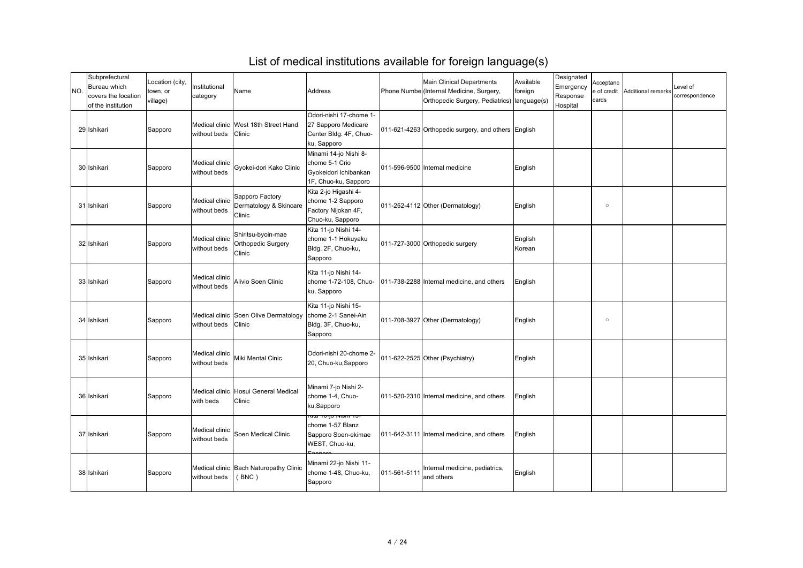| NO. | Subprefectural<br><b>Bureau which</b><br>covers the location<br>of the institution | Location (city,<br>town, or<br>village) | Institutional<br>category      | Name                                                        | Address                                                                                     |              | <b>Main Clinical Departments</b><br>Phone Numbe (Internal Medicine, Surgery,<br>Orthopedic Surgery, Pediatrics)   language(s) | Available<br>foreign | Designated<br>Emergency<br>Response<br>Hospital | Acceptanc<br>e of credit<br>cards | Additional remarks | Level of<br>correspondence |
|-----|------------------------------------------------------------------------------------|-----------------------------------------|--------------------------------|-------------------------------------------------------------|---------------------------------------------------------------------------------------------|--------------|-------------------------------------------------------------------------------------------------------------------------------|----------------------|-------------------------------------------------|-----------------------------------|--------------------|----------------------------|
|     | 29 Ishikari                                                                        | Sapporo                                 | without beds Clinic            | Medical clinic   West 18th Street Hand                      | Odori-nishi 17-chome 1-<br>27 Sapporo Medicare<br>Center Bldg. 4F, Chuo-<br>ku, Sapporo     |              | 011-621-4263 Orthopedic surgery, and others English                                                                           |                      |                                                 |                                   |                    |                            |
|     | 30 Ishikari                                                                        | Sapporo                                 | Medical clinic<br>without beds | Gyokei-dori Kako Clinic                                     | Minami 14-jo Nishi 8-<br>chome 5-1 Crio<br>Gyokeidori Ichibankan<br>1F, Chuo-ku, Sapporo    |              | 011-596-9500 Internal medicine                                                                                                | English              |                                                 |                                   |                    |                            |
|     | 31 Ishikari                                                                        | Sapporo                                 | Medical clinic<br>without beds | Sapporo Factory<br>Dermatology & Skincare<br>Clinic         | Kita 2-jo Higashi 4-<br>chome 1-2 Sapporo<br>Factory Nijokan 4F,<br>Chuo-ku, Sapporo        |              | 011-252-4112 Other (Dermatology)                                                                                              | English              |                                                 | $\circ$                           |                    |                            |
|     | 32 Ishikari                                                                        | Sapporo                                 | Medical clinic<br>without beds | Shiritsu-byoin-mae<br><b>Orthopedic Surgery</b><br>Clinic   | Kita 11-jo Nishi 14-<br>chome 1-1 Hokuyaku<br>Bldg. 2F, Chuo-ku,<br>Sapporo                 |              | 011-727-3000 Orthopedic surgery                                                                                               | English<br>Korean    |                                                 |                                   |                    |                            |
|     | 33 Ishikari                                                                        | Sapporo                                 | Medical clinic<br>without beds | Alivio Soen Clinic                                          | Kita 11-jo Nishi 14-<br>chome 1-72-108, Chuo-<br>ku, Sapporo                                |              | 011-738-2288 Internal medicine, and others                                                                                    | English              |                                                 |                                   |                    |                            |
|     | 34 Ishikari                                                                        | Sapporo                                 | without beds Clinic            | Medical clinic Soen Olive Dermatology   chome 2-1 Sanei-Ain | Kita 11-jo Nishi 15-<br>Bldg. 3F, Chuo-ku,<br>Sapporo                                       |              | 011-708-3927 Other (Dermatology)                                                                                              | English              |                                                 | $\circ$                           |                    |                            |
|     | 35 Ishikari                                                                        | Sapporo                                 | Medical clinic<br>without beds | Miki Mental Cinic                                           | Odori-nishi 20-chome 2-<br>[20, Chuo-ku, Sapporo]                                           |              | 011-622-2525 Other (Psychiatry)                                                                                               | English              |                                                 |                                   |                    |                            |
|     | 36 Ishikari                                                                        | Sapporo                                 | with beds                      | Medical clinic Hosui General Medical<br><b>Clinic</b>       | Minami 7-jo Nishi 2-<br>chome 1-4, Chuo-<br>ku,Sapporo                                      |              | 011-520-2310 Internal medicine, and others                                                                                    | English              |                                                 |                                   |                    |                            |
|     | 37 Ishikari                                                                        | Sapporo                                 | Medical clinic<br>without beds | Soen Medical Clinic                                         | <del>יטו וופוזיו טן-טו ג</del><br>chome 1-57 Blanz<br>Sapporo Soen-ekimae<br>WEST, Chuo-ku, |              | 011-642-3111 Internal medicine, and others                                                                                    | English              |                                                 |                                   |                    |                            |
|     | 38 Ishikari                                                                        | Sapporo                                 | without beds                   | Medical clinic Bach Naturopathy Clinic<br>(BNC)             | Minami 22-jo Nishi 11-<br>chome 1-48, Chuo-ku,<br>Sapporo                                   | 011-561-5111 | Internal medicine, pediatrics,<br>and others                                                                                  | English              |                                                 |                                   |                    |                            |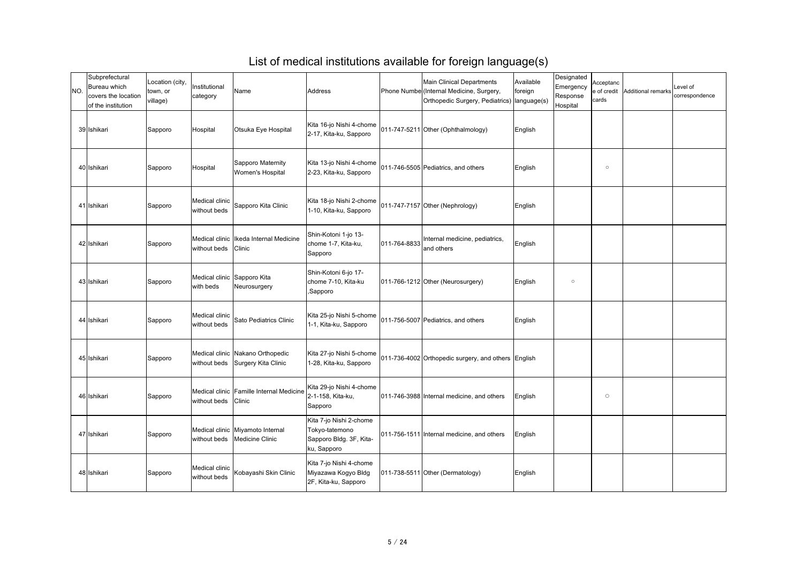| NO. | Subprefectural<br>Bureau which<br>covers the location<br>of the institution | Location (city,<br>town, or<br>village) | Institutional<br>category                | Name                                                                 | Address                                                                             |              | <b>Main Clinical Departments</b><br>Phone Numbe (Internal Medicine, Surgery,<br>Orthopedic Surgery, Pediatrics)   language(s) | Available<br>foreign | Designated<br>Emergency<br>Response<br>Hospital | Acceptanc<br>e of credit<br>cards | Additional remarks | Level of<br>correspondence |
|-----|-----------------------------------------------------------------------------|-----------------------------------------|------------------------------------------|----------------------------------------------------------------------|-------------------------------------------------------------------------------------|--------------|-------------------------------------------------------------------------------------------------------------------------------|----------------------|-------------------------------------------------|-----------------------------------|--------------------|----------------------------|
|     | 39 Ishikari                                                                 | Sapporo                                 | Hospital                                 | Otsuka Eye Hospital                                                  | Kita 16-jo Nishi 4-chome<br>2-17, Kita-ku, Sapporo                                  |              | 011-747-5211 Other (Ophthalmology)                                                                                            | English              |                                                 |                                   |                    |                            |
|     | 40 Ishikari                                                                 | Sapporo                                 | Hospital                                 | Sapporo Maternity<br><b>Women's Hospital</b>                         | Kita 13-jo Nishi 4-chome<br>2-23, Kita-ku, Sapporo                                  |              | 011-746-5505 Pediatrics, and others                                                                                           | English              |                                                 | $\circ$                           |                    |                            |
|     | 41 Ishikari                                                                 | Sapporo                                 | Medical clinic<br>without beds           | Sapporo Kita Clinic                                                  | Kita 18-jo Nishi 2-chome<br>1-10, Kita-ku, Sapporo                                  |              | 011-747-7157 Other (Nephrology)                                                                                               | English              |                                                 |                                   |                    |                            |
|     | 42 Ishikari                                                                 | Sapporo                                 | without beds Clinic                      | Medical clinic Ilkeda Internal Medicine                              | Shin-Kotoni 1-jo 13-<br>chome 1-7, Kita-ku,<br>Sapporo                              | 011-764-8833 | Internal medicine, pediatrics,<br>and others                                                                                  | English              |                                                 |                                   |                    |                            |
|     | 43 Ishikari                                                                 | Sapporo                                 | Medical clinic Sapporo Kita<br>with beds | Neurosurgery                                                         | Shin-Kotoni 6-jo 17-<br>chome 7-10, Kita-ku<br>Sapporo,                             |              | $[011-766-1212]$ Other (Neurosurgery)                                                                                         | English              | $\circ$                                         |                                   |                    |                            |
|     | 44 Ishikari                                                                 | Sapporo                                 | Medical clinic<br>without beds           | Sato Pediatrics Clinic                                               | Kita 25-jo Nishi 5-chome<br>1-1, Kita-ku, Sapporo                                   |              | 011-756-5007 Pediatrics, and others                                                                                           | English              |                                                 |                                   |                    |                            |
|     | 45 Ishikari                                                                 | Sapporo                                 |                                          | Medical clinic Nakano Orthopedic<br>without beds Surgery Kita Clinic | Kita 27-jo Nishi 5-chome<br>1-28, Kita-ku, Sapporo                                  |              | 011-736-4002 Orthopedic surgery, and others English                                                                           |                      |                                                 |                                   |                    |                            |
|     | 46 Ishikari                                                                 | Sapporo                                 | without beds Clinic                      | Medical clinic Famille Internal Medicine                             | Kita 29-jo Nishi 4-chome<br>2-1-158, Kita-ku,<br>Sapporo                            |              | 011-746-3988 Internal medicine, and others                                                                                    | English              |                                                 | $\circ$                           |                    |                            |
|     | 47 Ishikari                                                                 | Sapporo                                 |                                          | Medical clinic Miyamoto Internal<br>without beds   Medicine Clinic   | Kita 7-jo Nishi 2-chome<br>Tokyo-tatemono<br>Sapporo Bldg. 3F, Kita-<br>ku, Sapporo |              | 011-756-1511 Internal medicine, and others                                                                                    | English              |                                                 |                                   |                    |                            |
|     | 48 Ishikari                                                                 | Sapporo                                 | Medical clinic<br>without beds           | Kobayashi Skin Clinic                                                | Kita 7-jo Nishi 4-chome<br>Miyazawa Kogyo Bldg<br>2F, Kita-ku, Sapporo              |              | 011-738-5511 Other (Dermatology)                                                                                              | English              |                                                 |                                   |                    |                            |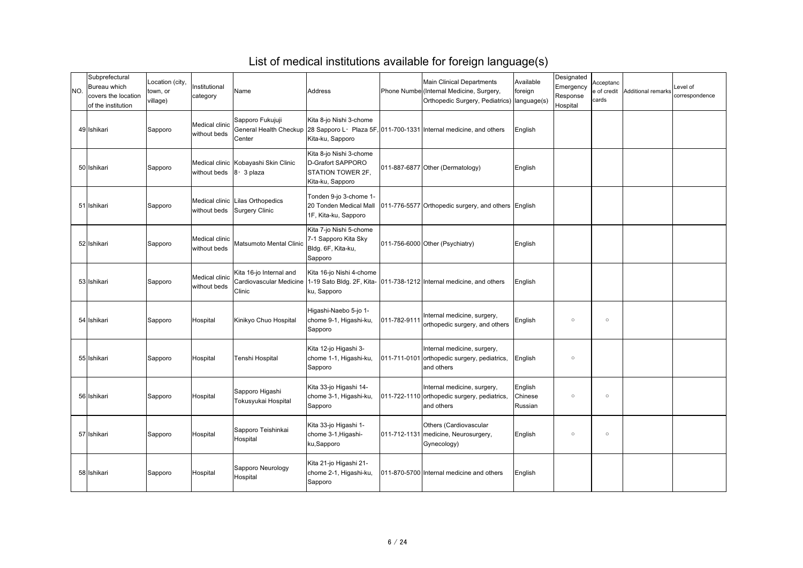| INO. | Subprefectural<br>Bureau which<br>covers the location<br>of the institution | Location (city,<br>town, or<br>village) | Institutional<br>category        | Name                                                            | Address                                                                                      |              | <b>Main Clinical Departments</b><br>Phone Numbe (Internal Medicine, Surgery,<br>Orthopedic Surgery, Pediatrics)   language(s) | Available<br>foreign          | Designated<br>Emergency<br>Response<br>Hospital | Acceptanc<br>e of credit<br>cards | Additional remarks | Level of<br>correspondence |
|------|-----------------------------------------------------------------------------|-----------------------------------------|----------------------------------|-----------------------------------------------------------------|----------------------------------------------------------------------------------------------|--------------|-------------------------------------------------------------------------------------------------------------------------------|-------------------------------|-------------------------------------------------|-----------------------------------|--------------------|----------------------------|
|      | 49 Ishikari                                                                 | Sapporo                                 | Medical clinic<br>without beds   | Sapporo Fukujuji<br>Center                                      | Kita 8-jo Nishi 3-chome<br>Kita-ku, Sapporo                                                  |              | General Health Checkup 28 Sapporo L · Plaza 5F, 011-700-1331 Internal medicine, and others                                    | English                       |                                                 |                                   |                    |                            |
|      | 50 Ishikari                                                                 | Sapporo                                 | without beds $ 8 \cdot 3 $ plaza | Medical clinic Kobayashi Skin Clinic                            | Kita 8-jo Nishi 3-chome<br>D-Grafort SAPPORO<br><b>STATION TOWER 2F,</b><br>Kita-ku, Sapporo |              | 011-887-6877 Other (Dermatology)                                                                                              | English                       |                                                 |                                   |                    |                            |
|      | 51 Ishikari                                                                 | Sapporo                                 |                                  | Medical clinic Lilas Orthopedics<br>without beds Surgery Clinic | Tonden 9-jo 3-chome 1-<br>20 Tonden Medical Mall<br>1F, Kita-ku, Sapporo                     |              | 011-776-5577 Orthopedic surgery, and others English                                                                           |                               |                                                 |                                   |                    |                            |
|      | 52 Ishikari                                                                 | Sapporo                                 | Medical clinic<br>without beds   | Matsumoto Mental Clinic                                         | Kita 7-jo Nishi 5-chome<br>7-1 Sapporo Kita Sky<br>Bldg. 6F, Kita-ku,<br>Sapporo             |              | 011-756-6000 Other (Psychiatry)                                                                                               | English                       |                                                 |                                   |                    |                            |
|      | 53 Ishikari                                                                 | Sapporo                                 | Medical clinic<br>without beds   | Kita 16-jo Internal and<br><b>Clinic</b>                        | Kita 16-jo Nishi 4-chome<br>ku, Sapporo                                                      |              | Cardiovascular Medicine   1-19 Sato Bldg. 2F, Kita-   011-738-1212   Internal medicine, and others                            | English                       |                                                 |                                   |                    |                            |
|      | 54 Ishikari                                                                 | Sapporo                                 | Hospital                         | Kinikyo Chuo Hospital                                           | Higashi-Naebo 5-jo 1-<br>chome 9-1, Higashi-ku,<br>Sapporo                                   | 011-782-9111 | Internal medicine, surgery,<br>orthopedic surgery, and others                                                                 | English                       | $\circ$                                         | $\circ$                           |                    |                            |
|      | 55 Ishikari                                                                 | Sapporo                                 | Hospital                         | Tenshi Hospital                                                 | Kita 12-jo Higashi 3-<br>chome 1-1, Higashi-ku,<br>Sapporo                                   |              | Internal medicine, surgery,<br>011-711-0101 orthopedic surgery, pediatrics,<br>and others                                     | English                       | $\circ$                                         |                                   |                    |                            |
|      | 56 Ishikari                                                                 | Sapporo                                 | Hospital                         | Sapporo Higashi<br>Tokusyukai Hospital                          | Kita 33-jo Higashi 14-<br>chome 3-1, Higashi-ku,<br>Sapporo                                  |              | Internal medicine, surgery,<br>011-722-1110 orthopedic surgery, pediatrics,<br>and others                                     | English<br>Chinese<br>Russian | $\circ$                                         | $\circ$                           |                    |                            |
|      | 57 Ishikari                                                                 | Sapporo                                 | Hospital                         | Sapporo Teishinkai<br>Hospital                                  | Kita 33-jo Higashi 1-<br>chome 3-1, Higashi-<br>ku,Sapporo                                   |              | <b>Others (Cardiovascular</b><br>011-712-1131   medicine, Neurosurgery,<br>Gynecology)                                        | English                       | $\circ$                                         | $\circ$                           |                    |                            |
|      | 58 Ishikari                                                                 | Sapporo                                 | Hospital                         | Sapporo Neurology<br>Hospital                                   | Kita 21-jo Higashi 21-<br>chome 2-1, Higashi-ku,<br>Sapporo                                  |              | 011-870-5700 Internal medicine and others                                                                                     | English                       |                                                 |                                   |                    |                            |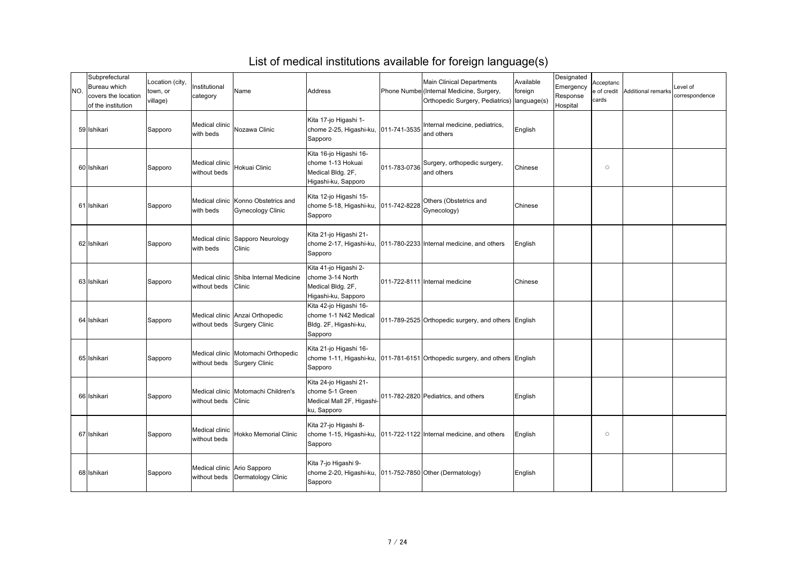| INO. | Subprefectural<br>Bureau which<br>covers the location<br>of the institution | Location (city,<br>town, or<br>village) | Institutional<br>category      | Name                                                               | Address                                                                                     |              | <b>Main Clinical Departments</b><br>Phone Numbe (Internal Medicine, Surgery,<br>Orthopedic Surgery, Pediatrics)   language(s) | Available<br>foreign | Designated<br>Emergency<br>Response<br>Hospital | Acceptanc<br>e of credit<br>cards | Additional remarks | Level of<br>correspondence |
|------|-----------------------------------------------------------------------------|-----------------------------------------|--------------------------------|--------------------------------------------------------------------|---------------------------------------------------------------------------------------------|--------------|-------------------------------------------------------------------------------------------------------------------------------|----------------------|-------------------------------------------------|-----------------------------------|--------------------|----------------------------|
|      | 59 Ishikari                                                                 | Sapporo                                 | Medical clinic<br>with beds    | Nozawa Clinic                                                      | Kita 17-jo Higashi 1-<br>chome 2-25, Higashi-ku,  011-741-3535<br>Sapporo                   |              | Internal medicine, pediatrics,<br>and others                                                                                  | English              |                                                 |                                   |                    |                            |
|      | 60 Ishikari                                                                 | Sapporo                                 | Medical clinic<br>without beds | Hokuai Clinic                                                      | Kita 16-jo Higashi 16-<br>chome 1-13 Hokuai<br>Medical Bldg. 2F,<br>Higashi-ku, Sapporo     | 011-783-0736 | Surgery, orthopedic surgery,<br>and others                                                                                    | Chinese              |                                                 | $\circ$                           |                    |                            |
|      | 61 Ishikari                                                                 | Sapporo                                 | with beds                      | Medical clinic Konno Obstetrics and<br><b>Gynecology Clinic</b>    | Kita 12-jo Higashi 15-<br>chome 5-18, Higashi-ku,  011-742-8228<br>Sapporo                  |              | Others (Obstetrics and<br>Gynecology)                                                                                         | Chinese              |                                                 |                                   |                    |                            |
|      | 62 Ishikari                                                                 | Sapporo                                 | with beds                      | Medical clinic Sapporo Neurology<br><b>Clinic</b>                  | Kita 21-jo Higashi 21-<br>Sapporo                                                           |              | chome 2-17, Higashi-ku,  011-780-2233 Internal medicine, and others                                                           | English              |                                                 |                                   |                    |                            |
|      | 63 Ishikari                                                                 | Sapporo                                 | without beds Clinic            | Medical clinic Shiba Internal Medicine                             | Kita 41-jo Higashi 2-<br>chome 3-14 North<br>Medical Bldg. 2F,<br>Higashi-ku, Sapporo       |              | 011-722-8111 Internal medicine                                                                                                | Chinese              |                                                 |                                   |                    |                            |
|      | 64 Ishikari                                                                 | Sapporo                                 |                                | Medical clinic Anzai Orthopedic<br>without beds Surgery Clinic     | Kita 42-jo Higashi 16-<br>chome 1-1 N42 Medical<br>Bldg. 2F, Higashi-ku,<br>Sapporo         |              | 011-789-2525 Orthopedic surgery, and others English                                                                           |                      |                                                 |                                   |                    |                            |
|      | 65 Ishikari                                                                 | Sapporo                                 |                                | Medical clinic Motomachi Orthopedic<br>without beds Surgery Clinic | Kita 21-jo Higashi 16-<br>Sapporo                                                           |              | chome 1-11, Higashi-ku,  011-781-6151 Orthopedic surgery, and others English                                                  |                      |                                                 |                                   |                    |                            |
|      | 66 Ishikari                                                                 | Sapporo                                 | without beds Clinic            | Medical clinic   Motomachi Children's                              | Kita 24-jo Higashi 21-<br>chome 5-1 Green<br>Medical Mall 2F, Higashi-<br>ku, Sapporo       |              | 011-782-2820 Pediatrics, and others                                                                                           | English              |                                                 |                                   |                    |                            |
|      | 67 Ishikari                                                                 | Sapporo                                 | Medical clinic<br>without beds | <b>Hokko Memorial Clinic</b>                                       | Kita 27-jo Higashi 8-<br>Sapporo                                                            |              | chome 1-15, Higashi-ku,  011-722-1122 Internal medicine, and others                                                           | English              |                                                 | $\circ$                           |                    |                            |
|      | 68 Ishikari                                                                 | Sapporo                                 |                                | Medical clinic Ario Sapporo<br>without beds   Dermatology Clinic   | Kita 7-jo Higashi 9-<br>chome 2-20, Higashi-ku, 011-752-7850 Other (Dermatology)<br>Sapporo |              |                                                                                                                               | English              |                                                 |                                   |                    |                            |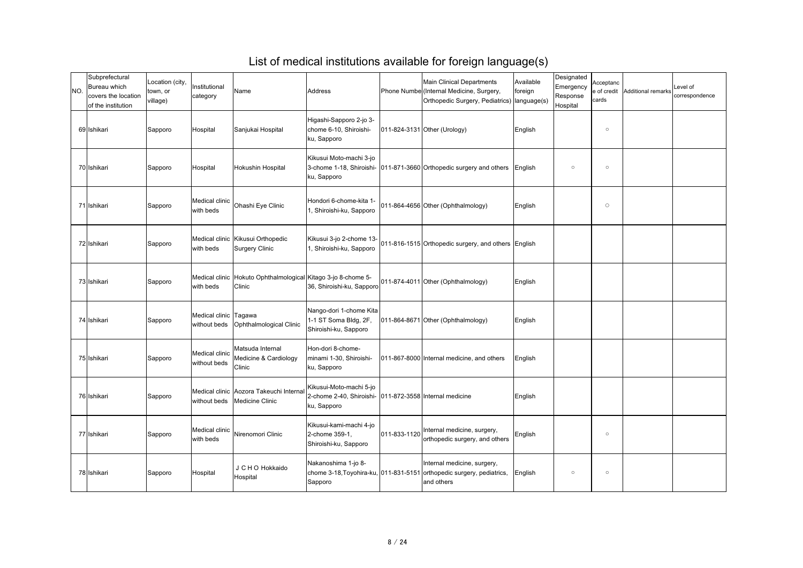| NO. | Subprefectural<br><b>Bureau which</b><br>covers the location<br>of the institution | Location (city,<br>town, or<br>village) | Institutional<br>category      | Name                                                                      | <b>Address</b>                                                                                     |              | <b>Main Clinical Departments</b><br>Phone Numbe (Internal Medicine, Surgery,<br>Orthopedic Surgery, Pediatrics)   language(s) | Available<br>foreign | Designated<br>Emergency<br>Response<br>Hospital | Acceptanc<br>e of credit<br>cards | Additional remarks | Level of<br>correspondence |
|-----|------------------------------------------------------------------------------------|-----------------------------------------|--------------------------------|---------------------------------------------------------------------------|----------------------------------------------------------------------------------------------------|--------------|-------------------------------------------------------------------------------------------------------------------------------|----------------------|-------------------------------------------------|-----------------------------------|--------------------|----------------------------|
|     | 69 Ishikari                                                                        | Sapporo                                 | Hospital                       | Sanjukai Hospital                                                         | Higashi-Sapporo 2-jo 3-<br>chome 6-10, Shiroishi-<br>ku, Sapporo                                   |              | 011-824-3131 Other (Urology)                                                                                                  | English              |                                                 | $\circ$                           |                    |                            |
|     | 70 Ishikari                                                                        | Sapporo                                 | Hospital                       | <b>Hokushin Hospital</b>                                                  | Kikusui Moto-machi 3-jo<br>ku, Sapporo                                                             |              | 3-chome 1-18, Shiroishi- 011-871-3660 Orthopedic surgery and others                                                           | English              | $\circ$                                         | $\circ$                           |                    |                            |
|     | 71 Ishikari                                                                        | Sapporo                                 | Medical clinic<br>with beds    | <b>Ohashi Eye Clinic</b>                                                  | Hondori 6-chome-kita 1-<br>, Shiroishi-ku, Sapporo                                                 |              | 011-864-4656 Other (Ophthalmology)                                                                                            | English              |                                                 | $\circ$                           |                    |                            |
|     | 72 Ishikari                                                                        | Sapporo                                 | with beds                      | Medical clinic Kikusui Orthopedic<br><b>Surgery Clinic</b>                | Kikusui 3-jo 2-chome 13-<br>, Shiroishi-ku, Sapporo                                                |              | 011-816-1515 Orthopedic surgery, and others English                                                                           |                      |                                                 |                                   |                    |                            |
|     | 73 Ishikari                                                                        | Sapporo                                 | with beds                      | Medical clinic Hokuto Ophthalmological Kitago 3-jo 8-chome 5-<br>Clinic   | 36, Shiroishi-ku, Sapporo                                                                          |              | 011-874-4011 Other (Ophthalmology)                                                                                            | English              |                                                 |                                   |                    |                            |
|     | 74 Ishikari                                                                        | Sapporo                                 | Medical clinic Tagawa          | without beds   Ophthalmological Clinic                                    | Nango-dori 1-chome Kita<br>1-1 ST Soma Bldg, 2F,<br>Shiroishi-ku, Sapporo                          |              | 011-864-8671 Other (Ophthalmology)                                                                                            | English              |                                                 |                                   |                    |                            |
|     | 75 Ishikari                                                                        | Sapporo                                 | Medical clinic<br>without beds | Matsuda Internal<br>Medicine & Cardiology<br><b>Clinic</b>                | Hon-dori 8-chome-<br>Iminami 1-30, Shiroishi-<br>ku, Sapporo                                       |              | 011-867-8000 Internal medicine, and others                                                                                    | English              |                                                 |                                   |                    |                            |
|     | 76 Ishikari                                                                        | Sapporo                                 |                                | Medical clinic Aozora Takeuchi Internal<br>without beds   Medicine Clinic | Kikusui-Moto-machi 5-jo<br>2-chome 2-40, Shiroishi- (011-872-3558 Internal medicine<br>ku, Sapporo |              |                                                                                                                               | English              |                                                 |                                   |                    |                            |
|     | 77 Ishikari                                                                        | Sapporo                                 | Medical clinic<br>with beds    | Nirenomori Clinic                                                         | Kikusui-kami-machi 4-jo<br>2-chome 359-1,<br>Shiroishi-ku, Sapporo                                 | 011-833-1120 | Internal medicine, surgery,<br>orthopedic surgery, and others                                                                 | English              |                                                 | $\circ$                           |                    |                            |
|     | 78 Ishikari                                                                        | Sapporo                                 | Hospital                       | J C H O Hokkaido<br>Hospital                                              | Nakanoshima 1-jo 8-<br>Sapporo                                                                     |              | Internal medicine, surgery,<br>chome 3-18, Toyohira-ku, 011-831-5151 orthopedic surgery, pediatrics,<br>and others            | English              | $\circ$                                         | $\circ$                           |                    |                            |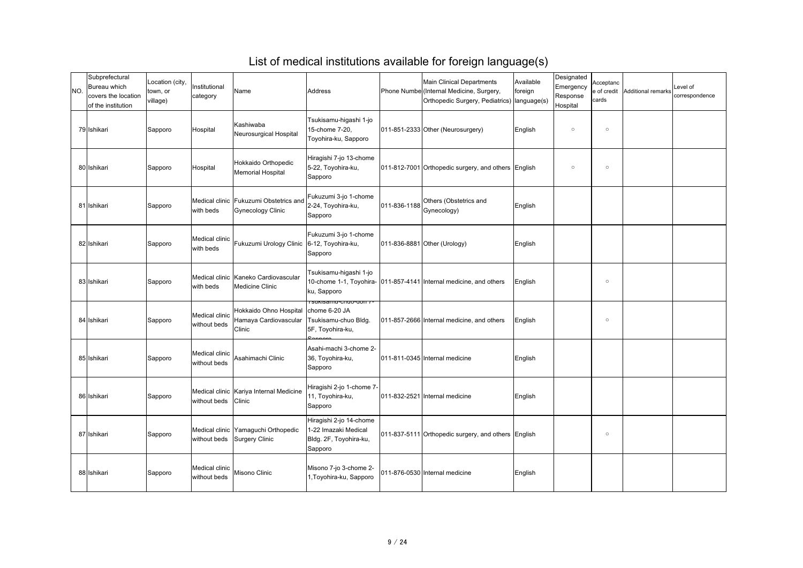| INO. | Subprefectural<br><b>Bureau which</b><br>covers the location<br>of the institution | Location (city,<br>town, or<br>village) | Institutional<br>category      | Name                                                                    | Address                                                                              |              | <b>Main Clinical Departments</b><br>Phone Numbe (Internal Medicine, Surgery,<br>Orthopedic Surgery, Pediatrics)   language(s) | Available<br>foreign | Designated<br>Emergency<br>Response<br>Hospital | Acceptanc<br>e of credit<br>cards | Additional remarks | Level of<br>correspondence |
|------|------------------------------------------------------------------------------------|-----------------------------------------|--------------------------------|-------------------------------------------------------------------------|--------------------------------------------------------------------------------------|--------------|-------------------------------------------------------------------------------------------------------------------------------|----------------------|-------------------------------------------------|-----------------------------------|--------------------|----------------------------|
|      | 79 Ishikari                                                                        | Sapporo                                 | <b>Hospital</b>                | Kashiwaba<br>Neurosurgical Hospital                                     | Tsukisamu-higashi 1-jo<br>15-chome 7-20,<br>Toyohira-ku, Sapporo                     |              | $[011-851-2333]$ Other (Neurosurgery)                                                                                         | English              | $\circ$                                         | $\circ$                           |                    |                            |
|      | 80 Ishikari                                                                        | Sapporo                                 | Hospital                       | Hokkaido Orthopedic<br><b>Memorial Hospital</b>                         | Hiragishi 7-jo 13-chome<br>5-22, Toyohira-ku,<br>Sapporo                             |              | 011-812-7001 Orthopedic surgery, and others English                                                                           |                      | $\circ$                                         | $\circ$                           |                    |                            |
|      | 81 Ishikari                                                                        | Sapporo                                 | with beds                      | Medical clinic   Fukuzumi Obstetrics and<br><b>Gynecology Clinic</b>    | Fukuzumi 3-jo 1-chome<br>2-24, Toyohira-ku,<br>Sapporo                               | 011-836-1188 | Others (Obstetrics and<br>Gynecology)                                                                                         | English              |                                                 |                                   |                    |                            |
|      | 82 Ishikari                                                                        | Sapporo                                 | Medical clinic<br>with beds    | Fukuzumi Urology Clinic   6-12, Toyohira-ku,                            | Fukuzumi 3-jo 1-chome<br>Sapporo                                                     |              | 011-836-8881 Other (Urology)                                                                                                  | English              |                                                 |                                   |                    |                            |
|      | 83 Ishikari                                                                        | Sapporo                                 | with beds                      | Medical clinic Kaneko Cardiovascular<br>Medicine Clinic                 | Tsukisamu-higashi 1-jo<br>ku, Sapporo                                                |              | 10-chome 1-1, Toyohira- (011-857-4141 Internal medicine, and others                                                           | English              |                                                 | $\circ$                           |                    |                            |
|      | 84 Ishikari                                                                        | Sapporo                                 | Medical clinic<br>without beds | Hokkaido Ohno Hospital chome 6-20 JA<br>Hamaya Cardiovascular<br>Clinic | <u>ı sukisaillu-ciluo-uoli 7 -</u><br>Tsukisamu-chuo Bldg.<br>5F, Toyohira-ku,       |              | 011-857-2666 Internal medicine, and others                                                                                    | English              |                                                 | $\circlearrowright$               |                    |                            |
|      | 85 Ishikari                                                                        | Sapporo                                 | Medical clinic<br>without beds | Asahimachi Clinic                                                       | Asahi-machi 3-chome 2-<br>36, Toyohira-ku,<br>Sapporo                                |              | 011-811-0345 Internal medicine                                                                                                | English              |                                                 |                                   |                    |                            |
|      | 86 Ishikari                                                                        | Sapporo                                 | without beds Clinic            | Medical clinic Kariya Internal Medicine                                 | Hiragishi 2-jo 1-chome 7-<br>11, Toyohira-ku,<br>Sapporo                             |              | 011-832-2521 Internal medicine                                                                                                | English              |                                                 |                                   |                    |                            |
|      | 87 Ishikari                                                                        | Sapporo                                 |                                | Medical clinic Yamaguchi Orthopedic<br>without beds Surgery Clinic      | Hiragishi 2-jo 14-chome<br>1-22 Imazaki Medical<br>Bldg. 2F, Toyohira-ku,<br>Sapporo |              | 011-837-5111 Orthopedic surgery, and others English                                                                           |                      |                                                 | $\circ$                           |                    |                            |
|      | 88 Ishikari                                                                        | Sapporo                                 | Medical clinic<br>without beds | Misono Clinic                                                           | Misono 7-jo 3-chome 2-<br>1, Toyohira-ku, Sapporo                                    |              | 011-876-0530 Internal medicine                                                                                                | English              |                                                 |                                   |                    |                            |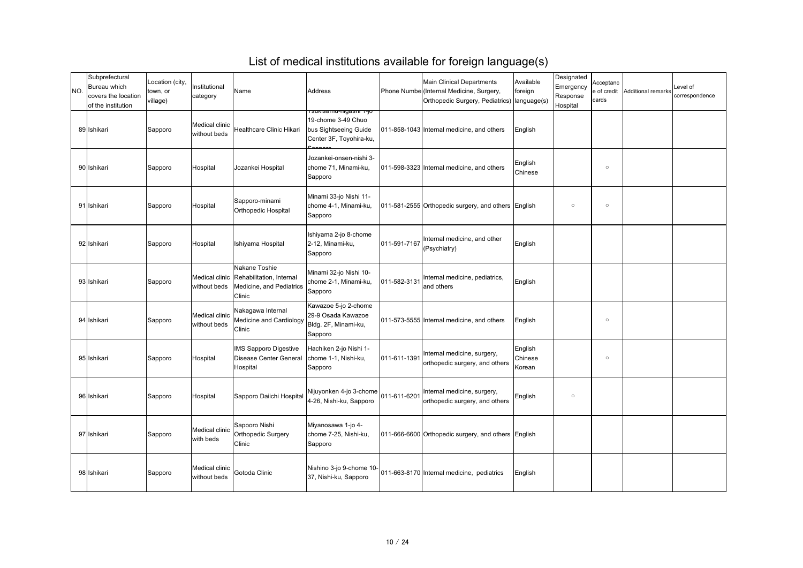| NO. | Subprefectural<br><b>Bureau which</b><br>covers the location<br>of the institution | Location (city,<br>town, or<br>village) | Institutional<br>category      | Name                                                                                           | <b>Address</b>                                                                                           |              | <b>Main Clinical Departments</b><br>Phone Numbe (Internal Medicine, Surgery,<br>Orthopedic Surgery, Pediatrics) | Available<br>foreign<br>language(s) | Designated<br>Emergency<br>Response<br>Hospital | Acceptanc<br>cards | e of credit   Additional remarks | Level of<br>correspondence |
|-----|------------------------------------------------------------------------------------|-----------------------------------------|--------------------------------|------------------------------------------------------------------------------------------------|----------------------------------------------------------------------------------------------------------|--------------|-----------------------------------------------------------------------------------------------------------------|-------------------------------------|-------------------------------------------------|--------------------|----------------------------------|----------------------------|
|     | 89 Ishikari                                                                        | Sapporo                                 | Medical clinic<br>without beds | <b>Healthcare Clinic Hikari</b>                                                                | <u>ı sukisamu-myasni 1-jol</u><br>19-chome 3-49 Chuo<br>bus Sightseeing Guide<br>Center 3F, Toyohira-ku, |              | 011-858-1043 Internal medicine, and others                                                                      | English                             |                                                 |                    |                                  |                            |
|     | 90 Ishikari                                                                        | Sapporo                                 | Hospital                       | Jozankei Hospital                                                                              | Jozankei-onsen-nishi 3-<br>chome 71, Minami-ku,<br>Sapporo                                               |              | 011-598-3323 Internal medicine, and others                                                                      | English<br><b>Chinese</b>           |                                                 | $\circ$            |                                  |                            |
|     | 91 Ishikari                                                                        | Sapporo                                 | Hospital                       | Sapporo-minami<br><b>Orthopedic Hospital</b>                                                   | Minami 33-jo Nishi 11-<br>chome 4-1, Minami-ku,<br>Sapporo                                               |              | 011-581-2555 Orthopedic surgery, and others English                                                             |                                     | $\circ$                                         | $\circ$            |                                  |                            |
|     | 92 Ishikari                                                                        | Sapporo                                 | Hospital                       | Ishiyama Hospital                                                                              | Ishiyama 2-jo 8-chome<br>2-12, Minami-ku,<br>Sapporo                                                     | 011-591-7167 | Internal medicine, and other<br>(Psychiatry)                                                                    | English                             |                                                 |                    |                                  |                            |
|     | 93 Ishikari                                                                        | Sapporo                                 | without beds                   | Nakane Toshie<br>Medical clinic Rehabilitation, Internal<br>Medicine, and Pediatrics<br>Clinic | Minami 32-jo Nishi 10-<br>chome 2-1, Minami-ku,<br>Sapporo                                               | 011-582-3131 | Internal medicine, pediatrics,<br>and others                                                                    | English                             |                                                 |                    |                                  |                            |
|     | 94 Ishikari                                                                        | Sapporo                                 | Medical clinic<br>without beds | Nakagawa Internal<br><b>Medicine and Cardiology</b><br>Clinic                                  | Kawazoe 5-jo 2-chome<br>29-9 Osada Kawazoe<br>Bldg. 2F, Minami-ku,<br>Sapporo                            |              | 011-573-5555 Internal medicine, and others                                                                      | English                             |                                                 | $\circ$            |                                  |                            |
|     | 95 Ishikari                                                                        | Sapporo                                 | Hospital                       | <b>IMS Sapporo Digestive</b><br><b>Disease Center General</b><br>Hospital                      | Hachiken 2-jo Nishi 1-<br>chome 1-1, Nishi-ku,<br>Sapporo                                                | 011-611-1391 | Internal medicine, surgery,<br>orthopedic surgery, and others                                                   | English<br>Chinese<br>Korean        |                                                 | $\circ$            |                                  |                            |
|     | 96 Ishikari                                                                        | Sapporo                                 | Hospital                       | Sapporo Daiichi Hospital                                                                       | Nijuyonken 4-jo 3-chome<br>4-26, Nishi-ku, Sapporo                                                       | 011-611-6201 | Internal medicine, surgery,<br>orthopedic surgery, and others                                                   | English                             | $\circ$                                         |                    |                                  |                            |
|     | 97 Ishikari                                                                        | Sapporo                                 | Medical clinic<br>with beds    | Sapooro Nishi<br>Orthopedic Surgery<br>Clinic                                                  | Miyanosawa 1-jo 4-<br>chome 7-25, Nishi-ku,<br>Sapporo                                                   |              | 011-666-6600 Orthopedic surgery, and others English                                                             |                                     |                                                 |                    |                                  |                            |
|     | 98 Ishikari                                                                        | Sapporo                                 | Medical clinic<br>without beds | Gotoda Clinic                                                                                  | Nishino 3-jo 9-chome 10-<br>37, Nishi-ku, Sapporo                                                        |              | 011-663-8170 Internal medicine, pediatrics                                                                      | English                             |                                                 |                    |                                  |                            |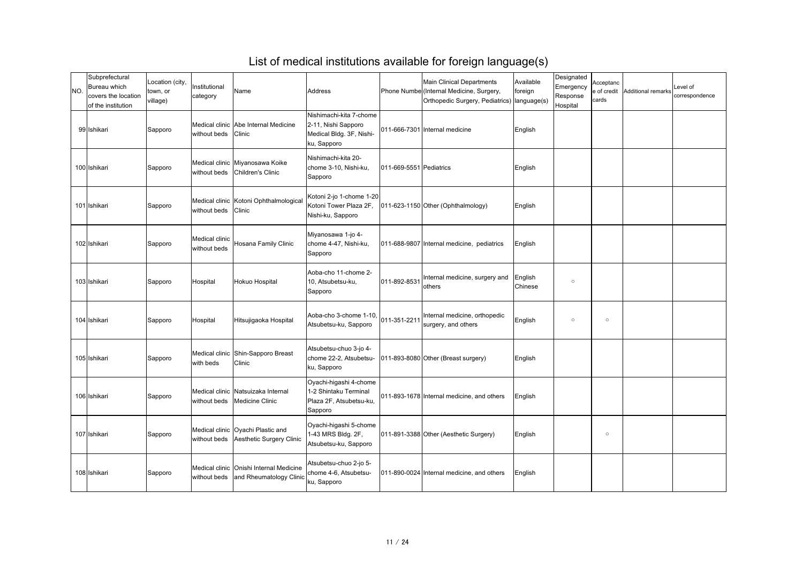| INO. | Subprefectural<br>Bureau which<br>covers the location<br>of the institution | Location (city,<br>town, or<br>village) | Institutional<br>category      | Name                                                               | <b>Address</b>                                                                            |                         | <b>Main Clinical Departments</b><br>Phone Numbe (Internal Medicine, Surgery,<br>Orthopedic Surgery, Pediatrics)   language(s) | Available<br>foreign | Designated<br>Emergency<br>Response<br>Hospital | Acceptanc<br>e of credit<br>cards | Additional remarks | Level of<br>correspondence |
|------|-----------------------------------------------------------------------------|-----------------------------------------|--------------------------------|--------------------------------------------------------------------|-------------------------------------------------------------------------------------------|-------------------------|-------------------------------------------------------------------------------------------------------------------------------|----------------------|-------------------------------------------------|-----------------------------------|--------------------|----------------------------|
|      | 99 Ishikari                                                                 | Sapporo                                 | without beds                   | Medical clinic Abe Internal Medicine<br><b>Clinic</b>              | Nishimachi-kita 7-chome<br>2-11, Nishi Sapporo<br>Medical Bldg. 3F, Nishi-<br>ku, Sapporo |                         | 011-666-7301 Internal medicine                                                                                                | English              |                                                 |                                   |                    |                            |
|      | 100 Ishikari                                                                | Sapporo                                 | without beds                   | Medical clinic Miyanosawa Koike<br>Children's Clinic               | Nishimachi-kita 20-<br>chome 3-10, Nishi-ku,<br>Sapporo                                   | 011-669-5551 Pediatrics |                                                                                                                               | English              |                                                 |                                   |                    |                            |
|      | 101 Ishikari                                                                | Sapporo                                 | without beds                   | Medical clinic Kotoni Ophthalmological<br><b>Clinic</b>            | Kotoni 2-jo 1-chome 1-20<br>Kotoni Tower Plaza 2F,<br>Nishi-ku, Sapporo                   |                         | 011-623-1150 Other (Ophthalmology)                                                                                            | English              |                                                 |                                   |                    |                            |
|      | 102 Ishikari                                                                | Sapporo                                 | Medical clinic<br>without beds | Hosana Family Clinic                                               | Miyanosawa 1-jo 4-<br>chome 4-47, Nishi-ku,<br>Sapporo                                    |                         | 011-688-9807 Internal medicine, pediatrics                                                                                    | English              |                                                 |                                   |                    |                            |
|      | 103 Ishikari                                                                | Sapporo                                 | Hospital                       | Hokuo Hospital                                                     | Aoba-cho 11-chome 2-<br>10, Atsubetsu-ku,<br>Sapporo                                      | 011-892-8531            | Internal medicine, surgery and<br><b>lothers</b>                                                                              | English<br>Chinese   | $\circ$                                         |                                   |                    |                            |
|      | 104 Ishikari                                                                | Sapporo                                 | Hospital                       | Hitsujigaoka Hospital                                              | Aoba-cho 3-chome 1-10,<br>Atsubetsu-ku, Sapporo                                           | 011-351-2211            | Internal medicine, orthopedic<br>surgery, and others                                                                          | English              | $\circ$                                         | $\circ$                           |                    |                            |
|      | 105 Ishikari                                                                | Sapporo                                 | with beds                      | Medical clinic Shin-Sapporo Breast<br>Clinic                       | Atsubetsu-chuo 3-jo 4-<br>chome 22-2, Atsubetsu-<br>ku, Sapporo                           |                         | 011-893-8080 Other (Breast surgery)                                                                                           | English              |                                                 |                                   |                    |                            |
|      | 106 Ishikari                                                                | Sapporo                                 | without beds                   | Medical clinic Natsuizaka Internal<br><b>Medicine Clinic</b>       | Oyachi-higashi 4-chome<br>1-2 Shintaku Terminal<br>Plaza 2F, Atsubetsu-ku,<br>Sapporo     |                         | 011-893-1678 Internal medicine, and others                                                                                    | English              |                                                 |                                   |                    |                            |
|      | 107 Ishikari                                                                | Sapporo                                 | without beds                   | Medical clinic Oyachi Plastic and<br>Aesthetic Surgery Clinic      | Oyachi-higashi 5-chome<br>1-43 MRS Bldg. 2F,<br>Atsubetsu-ku, Sapporo                     |                         | 011-891-3388 Other (Aesthetic Surgery)                                                                                        | English              |                                                 | $\circ$                           |                    |                            |
|      | 108 Ishikari                                                                | Sapporo                                 | without beds                   | Medical clinic Onishi Internal Medicine<br>and Rheumatology Clinic | Atsubetsu-chuo 2-jo 5-<br>chome 4-6, Atsubetsu-<br>ku, Sapporo                            |                         | 011-890-0024 Internal medicine, and others                                                                                    | English              |                                                 |                                   |                    |                            |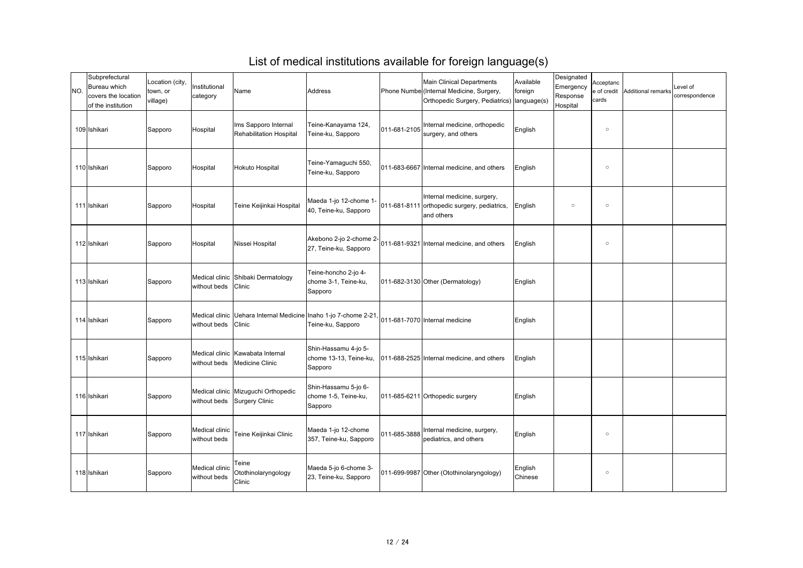| INO. | Subprefectural<br>Bureau which<br>covers the location<br>of the institution | Location (city,<br>town, or<br>village) | Institutional<br>category      | Name                                                                 | Address                                                   |              | <b>Main Clinical Departments</b><br>Phone Numbe (Internal Medicine, Surgery,<br>Orthopedic Surgery, Pediatrics)   language(s) | Available<br>foreign | Designated<br>Emergency<br>Response<br>Hospital | Acceptanc<br>e of credit<br>cards | Additional remarks | Level of<br>correspondence |
|------|-----------------------------------------------------------------------------|-----------------------------------------|--------------------------------|----------------------------------------------------------------------|-----------------------------------------------------------|--------------|-------------------------------------------------------------------------------------------------------------------------------|----------------------|-------------------------------------------------|-----------------------------------|--------------------|----------------------------|
|      | 109 Ishikari                                                                | Sapporo                                 | Hospital                       | Ims Sapporo Internal<br><b>Rehabilitation Hospital</b>               | Teine-Kanayama 124,<br>Teine-ku, Sapporo                  | 011-681-2105 | Internal medicine, orthopedic<br>surgery, and others                                                                          | English              |                                                 | $\circ$                           |                    |                            |
|      | 110 Ishikari                                                                | Sapporo                                 | Hospital                       | Hokuto Hospital                                                      | Teine-Yamaguchi 550,<br>Teine-ku, Sapporo                 |              | 011-683-6667 Internal medicine, and others                                                                                    | English              |                                                 | $\circ$                           |                    |                            |
|      | 111 Ishikari                                                                | Sapporo                                 | Hospital                       | Teine Keijinkai Hospital                                             | Maeda 1-jo 12-chome 1-<br>40, Teine-ku, Sapporo           |              | Internal medicine, surgery,<br>011-681-8111 orthopedic surgery, pediatrics,<br>and others                                     | English              | $\circ$                                         | $\circ$                           |                    |                            |
|      | 112 Ishikari                                                                | Sapporo                                 | Hospital                       | Nissei Hospital                                                      | 27, Teine-ku, Sapporo                                     |              | Akebono 2-jo 2-chome $2-\vert_{011}$ -681-9321 Internal medicine, and others                                                  | English              |                                                 | $\circ$                           |                    |                            |
|      | 113 Ishikari                                                                | Sapporo                                 | without beds Clinic            | Medical clinic Shibaki Dermatology                                   | Teine-honcho 2-jo 4-<br>chome 3-1, Teine-ku,<br>Sapporo   |              | $[011-682-3130]$ Other (Dermatology)                                                                                          | English              |                                                 |                                   |                    |                            |
|      | 114 Ishikari                                                                | Sapporo                                 | without beds Clinic            | Medical clinic   Uehara Internal Medicine   Inaho 1-jo 7-chome 2-21, | Teine-ku, Sapporo                                         |              | 011-681-7070 Internal medicine                                                                                                | English              |                                                 |                                   |                    |                            |
|      | 115 Ishikari                                                                | Sapporo                                 | without beds                   | Medical clinic Kawabata Internal<br>Medicine Clinic                  | Shin-Hassamu 4-jo 5-<br>chome 13-13, Teine-ku,<br>Sapporo |              | 011-688-2525 Internal medicine, and others                                                                                    | English              |                                                 |                                   |                    |                            |
|      | 116 Ishikari                                                                | Sapporo                                 |                                | Medical clinic Mizuguchi Orthopedic<br>without beds Surgery Clinic   | Shin-Hassamu 5-jo 6-<br>chome 1-5, Teine-ku,<br>Sapporo   |              | 011-685-6211 Orthopedic surgery                                                                                               | English              |                                                 |                                   |                    |                            |
|      | 117 Ishikari                                                                | Sapporo                                 | Medical clinic<br>without beds | Teine Keijinkai Clinic                                               | Maeda 1-jo 12-chome<br>357, Teine-ku, Sapporo             | 011-685-3888 | Internal medicine, surgery,<br>pediatrics, and others                                                                         | English              |                                                 | $\circ$                           |                    |                            |
|      | 118 Ishikari                                                                | Sapporo                                 | Medical clinic<br>without beds | Teine<br>Otothinolaryngology<br>Clinic                               | Maeda 5-jo 6-chome 3-<br>23, Teine-ku, Sapporo            |              | 011-699-9987 Other (Otothinolaryngology)                                                                                      | English<br>Chinese   |                                                 | $\circ$                           |                    |                            |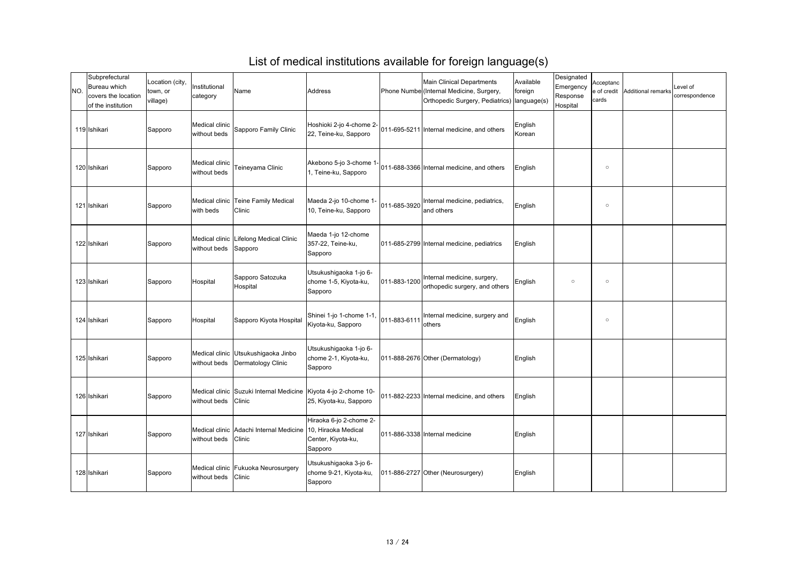| NO. | Subprefectural<br>Bureau which<br>covers the location<br>of the institution | Location (city,<br>town, or<br>village) | Institutional<br>category      | Name                                                                      | Address                                                     |              | <b>Main Clinical Departments</b><br>Phone Numbe (Internal Medicine, Surgery,<br>Orthopedic Surgery, Pediatrics) | Available<br>foreign<br>language(s) | Designated<br>Emergency<br>Response<br>Hospital | Acceptanc<br>cards | e of credit Additional remarks | Level of<br>correspondence |
|-----|-----------------------------------------------------------------------------|-----------------------------------------|--------------------------------|---------------------------------------------------------------------------|-------------------------------------------------------------|--------------|-----------------------------------------------------------------------------------------------------------------|-------------------------------------|-------------------------------------------------|--------------------|--------------------------------|----------------------------|
|     | 119 Ishikari                                                                | Sapporo                                 | Medical clinic<br>without beds | Sapporo Family Clinic                                                     | Hoshioki 2-jo 4-chome 2-<br>22, Teine-ku, Sapporo           |              | 011-695-5211 Internal medicine, and others                                                                      | English<br>Korean                   |                                                 |                    |                                |                            |
|     | 120 Ishikari                                                                | Sapporo                                 | Medical clinic<br>without beds | Teineyama Clinic                                                          | Akebono 5-jo 3-chome 1-<br>I, Teine-ku, Sapporo             |              | 011-688-3366 Internal medicine, and others                                                                      | English                             |                                                 | $\circ$            |                                |                            |
|     | 121 Ishikari                                                                | Sapporo                                 | with beds                      | Medical clinic Teine Family Medical<br><b>Clinic</b>                      | Maeda 2-jo 10-chome 1-<br>10, Teine-ku, Sapporo             | 011-685-3920 | Internal medicine, pediatrics,<br>and others                                                                    | English                             |                                                 | $\circ$            |                                |                            |
|     | 122 Ishikari                                                                | Sapporo                                 | without beds                   | Medical clinic Lifelong Medical Clinic<br>Sapporo                         | Maeda 1-jo 12-chome<br>357-22, Teine-ku,<br>Sapporo         |              | 011-685-2799 Internal medicine, pediatrics                                                                      | English                             |                                                 |                    |                                |                            |
|     | 123 Ishikari                                                                | Sapporo                                 | Hospital                       | Sapporo Satozuka<br>Hospital                                              | Utsukushigaoka 1-jo 6-<br>chome 1-5, Kiyota-ku,<br>Sapporo  | 011-883-1200 | Internal medicine, surgery,<br>orthopedic surgery, and others                                                   | English                             | $\circ$                                         | $\circ$            |                                |                            |
|     | 124 Ishikari                                                                | Sapporo                                 | Hospital                       | Sapporo Kiyota Hospital                                                   | Shinei 1-jo 1-chome 1-1<br>Kiyota-ku, Sapporo               | 011-883-6111 | Internal medicine, surgery and<br><b>others</b>                                                                 | English                             |                                                 | $\circ$            |                                |                            |
|     | 125 Ishikari                                                                | Sapporo                                 | without beds                   | Medical clinic Utsukushigaoka Jinbo<br>Dermatology Clinic                 | Utsukushigaoka 1-jo 6-<br>chome 2-1, Kiyota-ku,<br>Sapporo  |              | 011-888-2676 Other (Dermatology)                                                                                | English                             |                                                 |                    |                                |                            |
|     | 126 Ishikari                                                                | Sapporo                                 | without beds                   | Medical clinic Suzuki Internal Medicine Kiyota 4-jo 2-chome 10-<br>Clinic | [25, Kiyota-ku, Sapporo                                     |              | 011-882-2233 Internal medicine, and others                                                                      | English                             |                                                 |                    |                                |                            |
|     | 127 Ishikari                                                                | Sapporo                                 | without beds Clinic            | Medical clinic Adachi Internal Medicine 10, Hiraoka Medical               | Hiraoka 6-jo 2-chome 2-<br>Center, Kiyota-ku,<br>Sapporo    |              | 011-886-3338 Internal medicine                                                                                  | English                             |                                                 |                    |                                |                            |
|     | 128 Ishikari                                                                | Sapporo                                 | without beds Clinic            | Medical clinic   Fukuoka Neurosurgery                                     | Utsukushigaoka 3-jo 6-<br>chome 9-21, Kiyota-ku,<br>Sapporo |              | 011-886-2727 Other (Neurosurgery)                                                                               | English                             |                                                 |                    |                                |                            |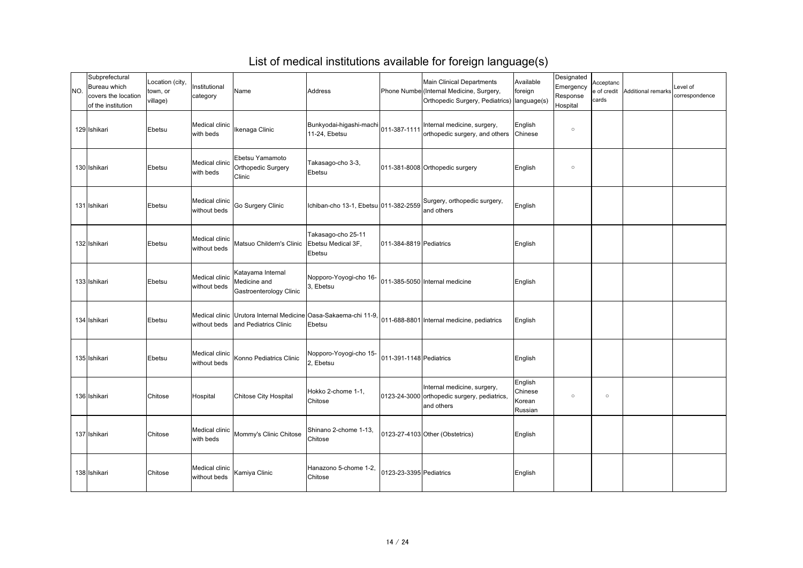| INO. | Subprefectural<br>Bureau which<br>covers the location<br>of the institution | Location (city,<br>town, or<br>village) | Institutional<br>category      | Name                                                                 | Address                                                                         |                         | <b>Main Clinical Departments</b><br>Phone Numbe (Internal Medicine, Surgery,<br>Orthopedic Surgery, Pediatrics)   language(s) | Available<br>foreign                    | Designated<br>Emergency<br>Response<br>Hospital | Acceptanc<br>e of credit<br>cards | Additional remarks | Level of<br>correspondence |
|------|-----------------------------------------------------------------------------|-----------------------------------------|--------------------------------|----------------------------------------------------------------------|---------------------------------------------------------------------------------|-------------------------|-------------------------------------------------------------------------------------------------------------------------------|-----------------------------------------|-------------------------------------------------|-----------------------------------|--------------------|----------------------------|
|      | 129 Ishikari                                                                | Ebetsu                                  | Medical clinic<br>with beds    | Ikenaga Clinic                                                       | Bunkyodai-higashi-machi<br>11-24, Ebetsu                                        | 011-387-1111            | Internal medicine, surgery,<br>orthopedic surgery, and others                                                                 | English<br>Chinese                      | $\circ$                                         |                                   |                    |                            |
|      | 130 Ishikari                                                                | Ebetsu                                  | Medical clinic<br>with beds    | <b>Ebetsu Yamamoto</b><br><b>Orthopedic Surgery</b><br><b>Clinic</b> | Takasago-cho 3-3,<br>Ebetsu                                                     |                         | 011-381-8008 Orthopedic surgery                                                                                               | English                                 | $\circ$                                         |                                   |                    |                            |
|      | 131 Ishikari                                                                | Ebetsu                                  | Medical clinic<br>without beds | Go Surgery Clinic                                                    | Ichiban-cho 13-1, Ebetsu 011-382-2559                                           |                         | Surgery, orthopedic surgery,<br>and others                                                                                    | English                                 |                                                 |                                   |                    |                            |
|      | 132 Ishikari                                                                | Ebetsu                                  | Medical clinic<br>without beds | Matsuo Childern's Clinic   Ebetsu Medical 3F,                        | Takasago-cho 25-11<br>Ebetsu                                                    | 011-384-8819 Pediatrics |                                                                                                                               | English                                 |                                                 |                                   |                    |                            |
|      | 133 Ishikari                                                                | Ebetsu                                  | Medical clinic<br>without beds | Katayama Internal<br>Medicine and<br><b>Gastroenterology Clinic</b>  | Nopporo-Yoyogi-cho 16-<br>3, Ebetsu                                             |                         | 011-385-5050 Internal medicine                                                                                                | English                                 |                                                 |                                   |                    |                            |
|      | 134 Ishikari                                                                | Ebetsu                                  |                                | without beds   and Pediatrics Clinic                                 | Medical clinic   Urutora Internal Medicine   Oasa-Sakaema-chi 11-9,  <br>Ebetsu |                         | 011-688-8801 Internal medicine, pediatrics                                                                                    | English                                 |                                                 |                                   |                    |                            |
|      | 135 Ishikari                                                                | Ebetsu                                  | Medical clinic<br>without beds | Konno Pediatrics Clinic                                              | Nopporo-Yoyogi-cho 15-<br>2, Ebetsu                                             | 011-391-1148 Pediatrics |                                                                                                                               | English                                 |                                                 |                                   |                    |                            |
|      | 136 Ishikari                                                                | <b>Chitose</b>                          | Hospital                       | Chitose City Hospital                                                | Hokko 2-chome 1-1,<br>Chitose                                                   |                         | Internal medicine, surgery,<br>0123-24-3000 orthopedic surgery, pediatrics,<br>and others                                     | English<br>Chinese<br>Korean<br>Russian | $\circ$                                         | $\circ$                           |                    |                            |
|      | 137 Ishikari                                                                | <b>Chitose</b>                          | Medical clinic<br>with beds    | Mommy's Clinic Chitose                                               | Shinano 2-chome 1-13,<br><b>Chitose</b>                                         |                         | 0123-27-4103 Other (Obstetrics)                                                                                               | English                                 |                                                 |                                   |                    |                            |
|      | 138 Ishikari                                                                | <b>Chitose</b>                          | Medical clinic<br>without beds | Kamiya Clinic                                                        | Hanazono 5-chome 1-2,<br><b>Chitose</b>                                         | 0123-23-3395 Pediatrics |                                                                                                                               | English                                 |                                                 |                                   |                    |                            |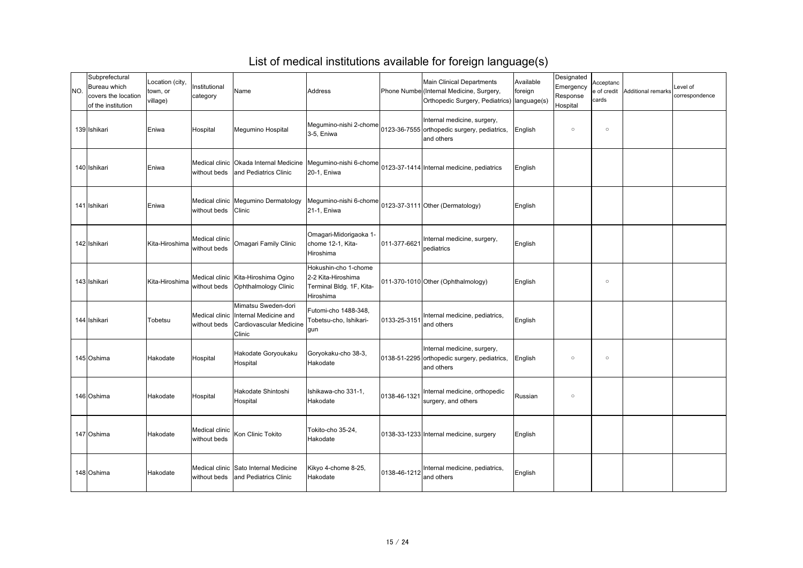| INO. | Subprefectural<br><b>Bureau which</b><br>covers the location<br>of the institution | Location (city,<br>town, or<br>village) | Institutional<br>category      | Name                                                                                               | Address                                                                                    |              | <b>Main Clinical Departments</b><br>Phone Numbe (Internal Medicine, Surgery,<br>Orthopedic Surgery, Pediatrics)   language(s) | Available<br>foreign | Designated<br>Emergency<br>Response<br>Hospital | Acceptanc<br>e of credit<br>cards | Additional remarks | Level of<br>correspondence |
|------|------------------------------------------------------------------------------------|-----------------------------------------|--------------------------------|----------------------------------------------------------------------------------------------------|--------------------------------------------------------------------------------------------|--------------|-------------------------------------------------------------------------------------------------------------------------------|----------------------|-------------------------------------------------|-----------------------------------|--------------------|----------------------------|
|      | 139 Ishikari                                                                       | Eniwa                                   | Hospital                       | Megumino Hospital                                                                                  | Megumino-nishi 2-chome<br>$3-5$ , Eniwa                                                    |              | Internal medicine, surgery,<br>0123-36-7555 orthopedic surgery, pediatrics,<br>and others                                     | English              | $\circ$                                         | $\circ$                           |                    |                            |
|      | 140 Ishikari                                                                       | Eniwa                                   | without beds                   | and Pediatrics Clinic                                                                              | Medical clinic   Okada Internal Medicine   Megumino-nishi 6-chome <br>20-1, Eniwa          |              | 0123-37-1414 Internal medicine, pediatrics                                                                                    | English              |                                                 |                                   |                    |                            |
|      | 141 Ishikari                                                                       | Eniwa                                   | without beds                   | Medical clinic   Megumino Dermatology<br><b>Clinic</b>                                             | Megumino-nishi 6-chome<br><b>21-1, Eniwa</b>                                               |              | 0123-37-3111 Other (Dermatology)                                                                                              | English              |                                                 |                                   |                    |                            |
|      | 142 Ishikari                                                                       | Kita-Hiroshima                          | Medical clinic<br>without beds | <b>Omagari Family Clinic</b>                                                                       | <b>Omagari-Midorigaoka 1-</b><br>chome 12-1, Kita-<br><b>Hiroshima</b>                     | 011-377-6621 | Internal medicine, surgery,<br>pediatrics                                                                                     | English              |                                                 |                                   |                    |                            |
|      | 143 Ishikari                                                                       | Kita-Hiroshima                          | without beds                   | Medical clinic   Kita-Hiroshima Ogino<br><b>Ophthalmology Clinic</b>                               | Hokushin-cho 1-chome<br>2-2 Kita-Hiroshima<br>Terminal Bldg. 1F, Kita-<br><b>Hiroshima</b> |              | 011-370-1010 Other (Ophthalmology)                                                                                            | English              |                                                 | $\circ$                           |                    |                            |
|      | 144 Ishikari                                                                       | Tobetsu                                 | without beds                   | Mimatsu Sweden-dori<br>Medical clinic   Internal Medicine and<br>Cardiovascular Medicine<br>Clinic | Futomi-cho 1488-348,<br>Tobetsu-cho, Ishikari-<br><b>gun</b>                               | 0133-25-3151 | Internal medicine, pediatrics,<br>and others                                                                                  | English              |                                                 |                                   |                    |                            |
|      | 145 Oshima                                                                         | Hakodate                                | Hospital                       | Hakodate Goryoukaku<br>Hospital                                                                    | Goryokaku-cho 38-3,<br>Hakodate                                                            |              | Internal medicine, surgery,<br>0138-51-2295 orthopedic surgery, pediatrics,<br>and others                                     | English              | $\circ$                                         | $\circ$                           |                    |                            |
|      | 146 Oshima                                                                         | Hakodate                                | Hospital                       | Hakodate Shintoshi<br>Hospital                                                                     | Ishikawa-cho 331-1,<br>Hakodate                                                            | 0138-46-1321 | Internal medicine, orthopedic<br>surgery, and others                                                                          | Russian              | $\circ$                                         |                                   |                    |                            |
|      | 147 Oshima                                                                         | Hakodate                                | Medical clinic<br>without beds | Kon Clinic Tokito                                                                                  | Tokito-cho 35-24,<br>Hakodate                                                              |              | 0138-33-1233 Internal medicine, surgery                                                                                       | English              |                                                 |                                   |                    |                            |
|      | 148 Oshima                                                                         | Hakodate                                |                                | Medical clinic Sato Internal Medicine<br>without beds and Pediatrics Clinic                        | Kikyo 4-chome 8-25,<br>Hakodate                                                            | 0138-46-1212 | Internal medicine, pediatrics,<br>and others                                                                                  | English              |                                                 |                                   |                    |                            |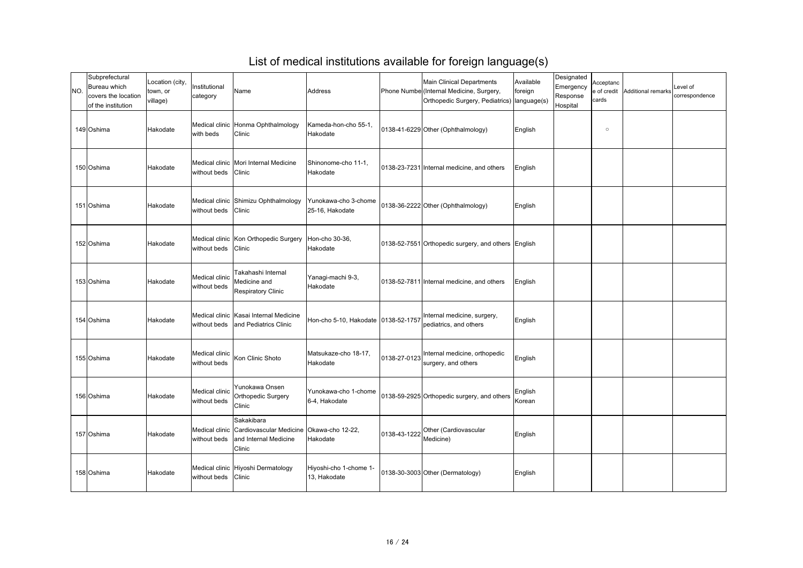| NO. | Subprefectural<br>Bureau which<br>covers the location<br>of the institution | Location (city,<br>town, or<br>village) | Institutional<br>category      | Name                                                                                                              | Address                                 |              | <b>Main Clinical Departments</b><br>Phone Numbe (Internal Medicine, Surgery,<br>Orthopedic Surgery, Pediatrics)   language(s) | Available<br>foreign | Designated<br>Emergency<br>Response<br>Hospital | Acceptanc<br>e of credit<br>cards | Additional remarks | Level of<br>correspondence |
|-----|-----------------------------------------------------------------------------|-----------------------------------------|--------------------------------|-------------------------------------------------------------------------------------------------------------------|-----------------------------------------|--------------|-------------------------------------------------------------------------------------------------------------------------------|----------------------|-------------------------------------------------|-----------------------------------|--------------------|----------------------------|
|     | 149 Oshima                                                                  | Hakodate                                | with beds                      | Medical clinic Honma Ophthalmology<br><b>Clinic</b>                                                               | Kameda-hon-cho 55-1,<br>Hakodate        |              | 0138-41-6229 Other (Ophthalmology)                                                                                            | English              |                                                 | $\circ$                           |                    |                            |
|     | 150 Oshima                                                                  | Hakodate                                | without beds Clinic            | Medical clinic   Mori Internal Medicine                                                                           | Shinonome-cho 11-1,<br>Hakodate         |              | 0138-23-7231 Internal medicine, and others                                                                                    | English              |                                                 |                                   |                    |                            |
|     | 151 Oshima                                                                  | Hakodate                                | without beds Clinic            | Medical clinic Shimizu Ophthalmology                                                                              | Yunokawa-cho 3-chome<br>25-16, Hakodate |              | 0138-36-2222 Other (Ophthalmology)                                                                                            | English              |                                                 |                                   |                    |                            |
|     | 152 Oshima                                                                  | Hakodate                                | without beds Clinic            | Medical clinic Kon Orthopedic Surgery   Hon-cho 30-36,                                                            | Hakodate                                |              | 0138-52-7551 Orthopedic surgery, and others English                                                                           |                      |                                                 |                                   |                    |                            |
|     | 153 Oshima                                                                  | Hakodate                                | Medical clinic<br>without beds | Takahashi Internal<br>Medicine and<br><b>Respiratory Clinic</b>                                                   | Yanagi-machi 9-3,<br>Hakodate           |              | 0138-52-7811 Internal medicine, and others                                                                                    | English              |                                                 |                                   |                    |                            |
|     | 154 Oshima                                                                  | Hakodate                                | without beds                   | Medical clinic   Kasai Internal Medicine<br>and Pediatrics Clinic                                                 | Hon-cho 5-10, Hakodate   0138-52-1757   |              | Internal medicine, surgery,<br>pediatrics, and others                                                                         | English              |                                                 |                                   |                    |                            |
|     | 155 Oshima                                                                  | Hakodate                                | Medical clinic<br>without beds | Kon Clinic Shoto                                                                                                  | Matsukaze-cho 18-17,<br>Hakodate        | 0138-27-0123 | Internal medicine, orthopedic<br>surgery, and others                                                                          | English              |                                                 |                                   |                    |                            |
|     | 156 Oshima                                                                  | Hakodate                                | Medical clinic<br>without beds | Yunokawa Onsen<br><b>Orthopedic Surgery</b><br>Clinic                                                             | Yunokawa-cho 1-chome<br>6-4, Hakodate   |              | 0138-59-2925 Orthopedic surgery, and others                                                                                   | English<br>Korean    |                                                 |                                   |                    |                            |
|     | 157 Oshima                                                                  | Hakodate                                | without beds                   | Sakakibara<br>Medical clinic Cardiovascular Medicine   Okawa-cho 12-22,<br>and Internal Medicine<br><b>Clinic</b> | Hakodate                                | 0138-43-1222 | Other (Cardiovascular<br>Medicine)                                                                                            | English              |                                                 |                                   |                    |                            |
|     | 158 Oshima                                                                  | Hakodate                                | without beds Clinic            | Medical clinic Hiyoshi Dermatology                                                                                | Hiyoshi-cho 1-chome 1-<br>13, Hakodate  |              | 0138-30-3003 Other (Dermatology)                                                                                              | English              |                                                 |                                   |                    |                            |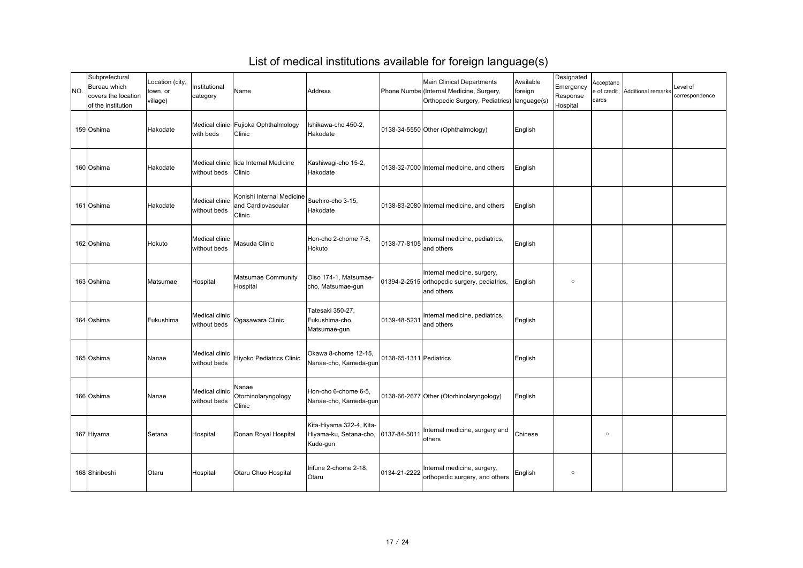| INO. | Subprefectural<br>Bureau which<br>covers the location<br>of the institution | Location (city,<br>town, or<br>village) | Institutional<br>category      | Name                                                                                  | Address                                                        |                         | <b>Main Clinical Departments</b><br>Phone Numbe (Internal Medicine, Surgery,<br>Orthopedic Surgery, Pediatrics)   language(s) | Available<br>foreign | Designated<br>Emergency<br>Response<br>Hospital | Acceptanc<br>e of credit<br>cards | Additional remarks | Level of<br>correspondence |
|------|-----------------------------------------------------------------------------|-----------------------------------------|--------------------------------|---------------------------------------------------------------------------------------|----------------------------------------------------------------|-------------------------|-------------------------------------------------------------------------------------------------------------------------------|----------------------|-------------------------------------------------|-----------------------------------|--------------------|----------------------------|
|      | 159 Oshima                                                                  | Hakodate                                | with beds                      | Medical clinic   Fujioka Ophthalmology<br>Clinic                                      | Ishikawa-cho 450-2,<br>Hakodate                                |                         | 0138-34-5550 Other (Ophthalmology)                                                                                            | English              |                                                 |                                   |                    |                            |
|      | 160 Oshima                                                                  | Hakodate                                | without beds Clinic            | Medical clinic llida Internal Medicine                                                | Kashiwagi-cho 15-2,<br>Hakodate                                |                         | 0138-32-7000 Internal medicine, and others                                                                                    | English              |                                                 |                                   |                    |                            |
|      | 161 Oshima                                                                  | Hakodate                                | Medical clinic<br>without beds | Konishi Internal Medicine<br>Suehiro-cho 3-15,<br>and Cardiovascular<br><b>Clinic</b> | Hakodate                                                       |                         | 0138-83-2080 Internal medicine, and others                                                                                    | English              |                                                 |                                   |                    |                            |
|      | 162 Oshima                                                                  | Hokuto                                  | Medical clinic<br>without beds | Masuda Clinic                                                                         | Hon-cho 2-chome 7-8,<br>Hokuto                                 | 0138-77-8105            | Internal medicine, pediatrics,<br>and others                                                                                  | English              |                                                 |                                   |                    |                            |
|      | 163 Oshima                                                                  | Matsumae                                | Hospital                       | Matsumae Community<br>Hospital                                                        | Oiso 174-1, Matsumae-<br>cho, Matsumae-gun                     |                         | Internal medicine, surgery,<br>01394-2-2515 orthopedic surgery, pediatrics,<br>and others                                     | English              | $\circ$                                         |                                   |                    |                            |
|      | 164 Oshima                                                                  | Fukushima                               | Medical clinic<br>without beds | Ogasawara Clinic                                                                      | Tatesaki 350-27,<br>Fukushima-cho,<br>Matsumae-gun             | 0139-48-5231            | Internal medicine, pediatrics,<br>and others                                                                                  | English              |                                                 |                                   |                    |                            |
|      | 165 Oshima                                                                  | Nanae                                   | Medical clinic<br>without beds | Hiyoko Pediatrics Clinic                                                              | Okawa 8-chome 12-15,<br>Nanae-cho, Kameda-gun                  | 0138-65-1311 Pediatrics |                                                                                                                               | English              |                                                 |                                   |                    |                            |
|      | 166 Oshima                                                                  | Nanae                                   | Medical clinic<br>without beds | Nanae<br>Otorhinolaryngology<br>Clinic                                                | Hon-cho 6-chome 6-5,<br>Nanae-cho, Kameda-gun                  |                         | 0138-66-2677 Other (Otorhinolaryngology)                                                                                      | English              |                                                 |                                   |                    |                            |
|      | 167 Hiyama                                                                  | Setana                                  | Hospital                       | Donan Royal Hospital                                                                  | Kita-Hiyama 322-4, Kita-<br>Hiyama-ku, Setana-cho,<br>Kudo-gun | 0137-84-5011            | Internal medicine, surgery and<br>others                                                                                      | Chinese              |                                                 | $\circ$                           |                    |                            |
|      | 168 Shiribeshi                                                              | <b>Otaru</b>                            | Hospital                       | <b>Otaru Chuo Hospital</b>                                                            | Irifune 2-chome 2-18,<br><b>Otaru</b>                          | 0134-21-2222            | Internal medicine, surgery,<br>orthopedic surgery, and others                                                                 | English              | $\circ$                                         |                                   |                    |                            |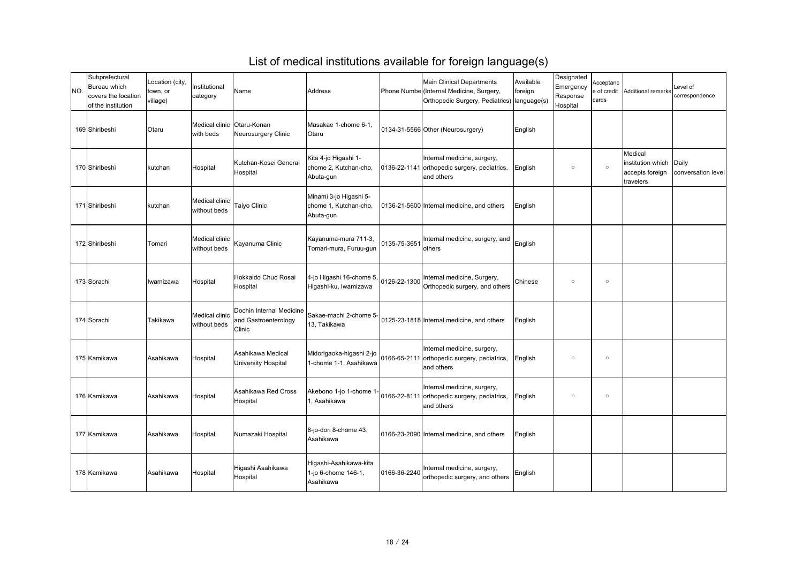| NO. | Subprefectural<br><b>Bureau which</b><br>covers the location<br>of the institution | Location (city,<br>town, or<br>village) | Institutional<br>category               | Name                                                       | Address                                                      |              | <b>Main Clinical Departments</b><br>Phone Numbe (Internal Medicine, Surgery,<br>Orthopedic Surgery, Pediatrics)   language(s) | Available<br>foreign | Designated<br>Emergency<br>Response<br>Hospital | Acceptanc<br>e of credit<br>cards | Additional remarks                                           | Level of<br>correspondence  |
|-----|------------------------------------------------------------------------------------|-----------------------------------------|-----------------------------------------|------------------------------------------------------------|--------------------------------------------------------------|--------------|-------------------------------------------------------------------------------------------------------------------------------|----------------------|-------------------------------------------------|-----------------------------------|--------------------------------------------------------------|-----------------------------|
|     | 169 Shiribeshi                                                                     | <b>Otaru</b>                            | Medical clinic Otaru-Konan<br>with beds | Neurosurgery Clinic                                        | Masakae 1-chome 6-1,<br><b>Otaru</b>                         |              | 0134-31-5566 Other (Neurosurgery)                                                                                             | English              |                                                 |                                   |                                                              |                             |
|     | 170 Shiribeshi                                                                     | kutchan                                 | Hospital                                | Kutchan-Kosei General<br>Hospital                          | Kita 4-jo Higashi 1-<br>chome 2, Kutchan-cho,<br>Abuta-gun   |              | Internal medicine, surgery,<br>0136-22-1141 orthopedic surgery, pediatrics,<br>and others                                     | English              | $\circ$                                         | $\circ$                           | Medical<br>institution which<br>accepts foreign<br>travelers | Daily<br>conversation level |
|     | 171 Shiribeshi                                                                     | kutchan                                 | Medical clinic<br>without beds          | Taiyo Clinic                                               | Minami 3-jo Higashi 5-<br>chome 1, Kutchan-cho,<br>Abuta-gun |              | 0136-21-5600 Internal medicine, and others                                                                                    | English              |                                                 |                                   |                                                              |                             |
|     | 172 Shiribeshi                                                                     | Tomari                                  | Medical clinic<br>without beds          | Kayanuma Clinic                                            | Kayanuma-mura 711-3,<br>Tomari-mura, Furuu-gun               | 0135-75-3651 | Internal medicine, surgery, and<br>others                                                                                     | English              |                                                 |                                   |                                                              |                             |
|     | 173 Sorachi                                                                        | Iwamizawa                               | Hospital                                | Hokkaido Chuo Rosai<br>Hospital                            | 4-jo Higashi 16-chome 5,<br>Higashi-ku, Iwamizawa            | 0126-22-1300 | Internal medicine, Surgery,<br>Orthopedic surgery, and others                                                                 | Chinese              | $\circ$                                         | $\circ$                           |                                                              |                             |
|     | 174 Sorachi                                                                        | Takikawa                                | Medical clinic<br>without beds          | Dochin Internal Medicine<br>and Gastroenterology<br>Clinic | Sakae-machi 2-chome 5-<br>13, Takikawa                       |              | 0125-23-1818 Internal medicine, and others                                                                                    | English              |                                                 |                                   |                                                              |                             |
|     | 175 Kamikawa                                                                       | Asahikawa                               | Hospital                                | Asahikawa Medical<br>University Hospital                   | Midorigaoka-higashi 2-jo  <br>1-chome 1-1, Asahikawa         |              | Internal medicine, surgery,<br>0166-65-2111 orthopedic surgery, pediatrics,<br>and others                                     | English              | $\circ$                                         | $\circ$                           |                                                              |                             |
|     | 176 Kamikawa                                                                       | Asahikawa                               | Hospital                                | Asahikawa Red Cross<br>Hospital                            | Akebono 1-jo 1-chome 1-<br>, Asahikawa                       |              | Internal medicine, surgery,<br>0166-22-8111 orthopedic surgery, pediatrics,<br>and others                                     | English              | $\circ$                                         | $\circ$                           |                                                              |                             |
|     | 177 Kamikawa                                                                       | Asahikawa                               | Hospital                                | Numazaki Hospital                                          | 8-jo-dori 8-chome 43,<br>Asahikawa                           |              | 0166-23-2090 Internal medicine, and others                                                                                    | English              |                                                 |                                   |                                                              |                             |
|     | 178 Kamikawa                                                                       | Asahikawa                               | Hospital                                | Higashi Asahikawa<br>Hospital                              | Higashi-Asahikawa-kita<br>1-jo 6-chome 146-1,<br>Asahikawa   | 0166-36-2240 | Internal medicine, surgery,<br>orthopedic surgery, and others                                                                 | English              |                                                 |                                   |                                                              |                             |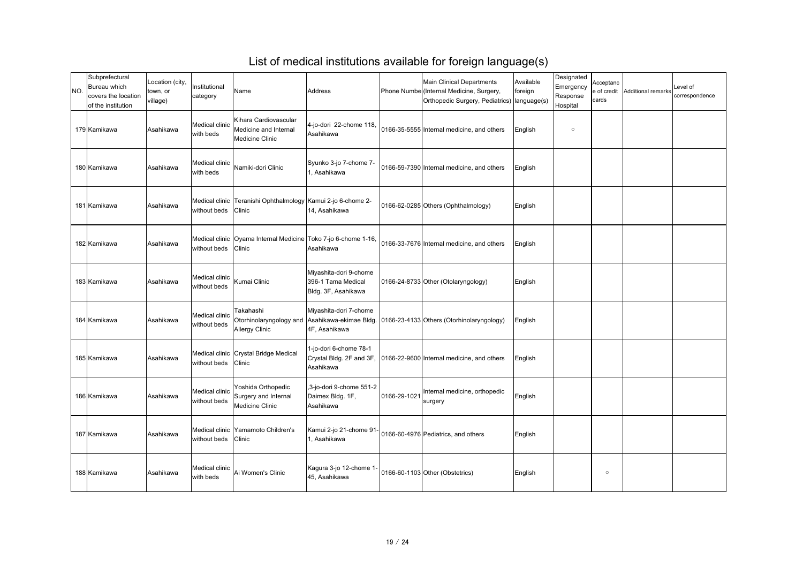| INO. | Subprefectural<br>Bureau which<br>covers the location<br>of the institution | Location (city,<br>town, or<br>village) | Institutional<br>category      | Name                                                                     | Address                                                             |              | <b>Main Clinical Departments</b><br>Phone Numbe (Internal Medicine, Surgery,<br>Orthopedic Surgery, Pediatrics)   language(s) | Available<br>foreign | Designated<br>Emergency<br>Response<br>Hospital | Acceptanc<br>e of credit<br>cards | Additional remarks | Level of<br>correspondence |
|------|-----------------------------------------------------------------------------|-----------------------------------------|--------------------------------|--------------------------------------------------------------------------|---------------------------------------------------------------------|--------------|-------------------------------------------------------------------------------------------------------------------------------|----------------------|-------------------------------------------------|-----------------------------------|--------------------|----------------------------|
|      | 179 Kamikawa                                                                | Asahikawa                               | Medical clinic<br>with beds    | Kihara Cardiovascular<br>Medicine and Internal<br><b>Medicine Clinic</b> | $4$ -jo-dori 22-chome 118,<br>Asahikawa                             |              | 0166-35-5555 Internal medicine, and others                                                                                    | English              | $\circ$                                         |                                   |                    |                            |
|      | 180 Kamikawa                                                                | Asahikawa                               | Medical clinic<br>with beds    | Namiki-dori Clinic                                                       | Syunko 3-jo 7-chome 7-<br>, Asahikawa                               |              | 0166-59-7390 Internal medicine, and others                                                                                    | English              |                                                 |                                   |                    |                            |
|      | 181 Kamikawa                                                                | Asahikawa                               | without beds Clinic            | Medical clinic Teranishi Ophthalmology Kamui 2-jo 6-chome 2-             | 14, Asahikawa                                                       |              | 0166-62-0285 Others (Ophthalmology)                                                                                           | English              |                                                 |                                   |                    |                            |
|      | 182 Kamikawa                                                                | Asahikawa                               | without beds Clinic            | Medical clinic   Oyama Internal Medicine   Toko 7-jo 6-chome 1-16,       | Asahikawa                                                           |              | 0166-33-7676 Internal medicine, and others                                                                                    | English              |                                                 |                                   |                    |                            |
|      | 183 Kamikawa                                                                | Asahikawa                               | Medical clinic<br>without beds | Kumai Clinic                                                             | Miyashita-dori 9-chome<br>396-1 Tama Medical<br>Bldg. 3F, Asahikawa |              | 0166-24-8733 Other (Otolaryngology)                                                                                           | English              |                                                 |                                   |                    |                            |
|      | 184 Kamikawa                                                                | Asahikawa                               | Medical clinic<br>without beds | Takahashi<br><b>Allergy Clinic</b>                                       | Miyashita-dori 7-chome<br>4F, Asahikawa                             |              | Otorhinolaryngology and  Asahikawa-ekimae Bldg.  0166-23-4133 Others (Otorhinolaryngology)                                    | English              |                                                 |                                   |                    |                            |
|      | 185 Kamikawa                                                                | Asahikawa                               | without beds                   | Medical clinic Crystal Bridge Medical<br><b>Clinic</b>                   | 1-jo-dori 6-chome 78-1<br>Crystal Bldg. 2F and 3F,<br>Asahikawa     |              | 0166-22-9600 Internal medicine, and others                                                                                    | English              |                                                 |                                   |                    |                            |
|      | 186 Kamikawa                                                                | Asahikawa                               | Medical clinic<br>without beds | Yoshida Orthopedic<br>Surgery and Internal<br><b>Medicine Clinic</b>     | $\vert$ ,3-jo-dori 9-chome 551-2<br>Daimex Bldg. 1F,<br>Asahikawa   | 0166-29-1021 | Internal medicine, orthopedic<br>surgery                                                                                      | English              |                                                 |                                   |                    |                            |
|      | 187 Kamikawa                                                                | Asahikawa                               | without beds Clinic            | Medical clinic Yamamoto Children's                                       | Kamui 2-jo 21-chome 91-<br>, Asahikawa                              |              | 0166-60-4976 Pediatrics, and others                                                                                           | English              |                                                 |                                   |                    |                            |
|      | 188 Kamikawa                                                                | Asahikawa                               | Medical clinic<br>with beds    | Ai Women's Clinic                                                        | Kagura 3-jo 12-chome 1-<br>45, Asahikawa                            |              | 0166-60-1103 Other (Obstetrics)                                                                                               | English              |                                                 | $\circ$                           |                    |                            |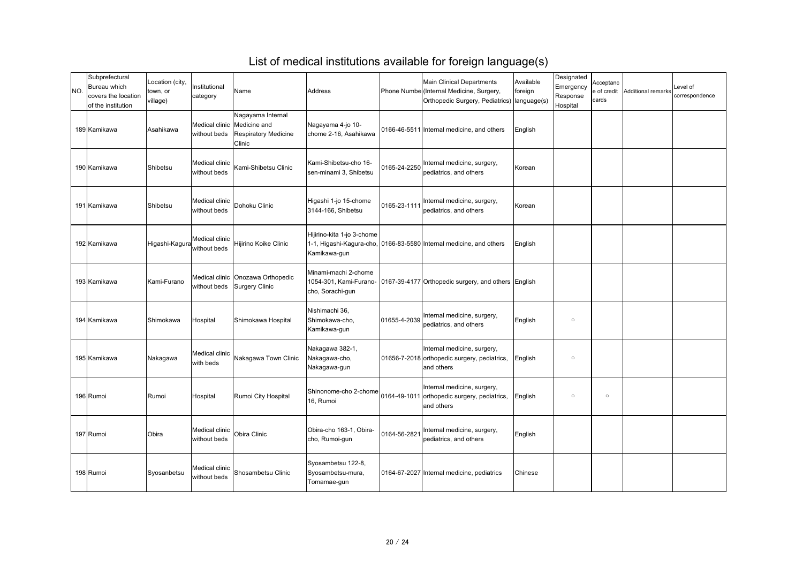| NO. | Subprefectural<br>Bureau which<br>covers the location<br>of the institution | Location (city,<br>town, or<br>village) | Institutional<br>category      | Name                                                                                                       | Address                                                |              | <b>Main Clinical Departments</b><br>Phone Numbe (Internal Medicine, Surgery,<br>Orthopedic Surgery, Pediatrics)   language(s) | Available<br>foreign | Designated<br>Emergency<br>Response<br>Hospital | Acceptanc<br>e of credit<br>cards | Additional remarks | Level of<br>correspondence |
|-----|-----------------------------------------------------------------------------|-----------------------------------------|--------------------------------|------------------------------------------------------------------------------------------------------------|--------------------------------------------------------|--------------|-------------------------------------------------------------------------------------------------------------------------------|----------------------|-------------------------------------------------|-----------------------------------|--------------------|----------------------------|
|     | 189 Kamikawa                                                                | Asahikawa                               |                                | Nagayama Internal<br>Medical clinic   Medicine and<br>without beds   Respiratory Medicine<br><b>Clinic</b> | Nagayama 4-jo 10-<br>chome 2-16, Asahikawa             |              | 0166-46-5511 Internal medicine, and others                                                                                    | English              |                                                 |                                   |                    |                            |
|     | 190 Kamikawa                                                                | Shibetsu                                | Medical clinic<br>without beds | Kami-Shibetsu Clinic                                                                                       | Kami-Shibetsu-cho 16-<br>sen-minami 3, Shibetsu        | 0165-24-2250 | Internal medicine, surgery,<br>pediatrics, and others                                                                         | Korean               |                                                 |                                   |                    |                            |
|     | 191 Kamikawa                                                                | Shibetsu                                | Medical clinic<br>without beds | Dohoku Clinic                                                                                              | Higashi 1-jo 15-chome<br>3144-166, Shibetsu            | 0165-23-1111 | Internal medicine, surgery,<br>pediatrics, and others                                                                         | Korean               |                                                 |                                   |                    |                            |
|     | 192 Kamikawa                                                                | Higashi-Kagura                          | Medical clinic<br>without beds | Hijirino Koike Clinic                                                                                      | Hijirino-kita 1-jo 3-chome<br>Kamikawa-gun             |              | 1-1, Higashi-Kagura-cho, 0166-83-5580 Internal medicine, and others                                                           | English              |                                                 |                                   |                    |                            |
|     | 193 Kamikawa                                                                | Kami-Furano                             |                                | Medical clinic   Onozawa Orthopedic<br>without beds Surgery Clinic                                         | Minami-machi 2-chome<br>cho, Sorachi-gun               |              | 1054-301, Kami-Furano- 10167-39-4177 Orthopedic surgery, and others English                                                   |                      |                                                 |                                   |                    |                            |
|     | 194 Kamikawa                                                                | Shimokawa                               | Hospital                       | Shimokawa Hospital                                                                                         | Nishimachi 36,<br>Shimokawa-cho,<br>Kamikawa-gun       | 01655-4-2039 | Internal medicine, surgery,<br>pediatrics, and others                                                                         | English              | $\circ$                                         |                                   |                    |                            |
|     | 195 Kamikawa                                                                | Nakagawa                                | Medical clinic<br>with beds    | Nakagawa Town Clinic                                                                                       | Nakagawa 382-1,<br>Nakagawa-cho,<br>Nakagawa-gun       |              | Internal medicine, surgery,<br>01656-7-2018 orthopedic surgery, pediatrics,<br>and others                                     | English              | $\circ$                                         |                                   |                    |                            |
|     | 196 Rumoi                                                                   | Rumoi                                   | Hospital                       | Rumoi City Hospital                                                                                        | Shinonome-cho 2-chome<br>16, Rumoi                     |              | Internal medicine, surgery,<br>0164-49-1011 orthopedic surgery, pediatrics,<br>and others                                     | English              | $\circ$                                         | $\circ$                           |                    |                            |
|     | 197 Rumoi                                                                   | Obira                                   | Medical clinic<br>without beds | Obira Clinic                                                                                               | Obira-cho 163-1, Obira-<br>cho, Rumoi-gun              | 0164-56-2821 | Internal medicine, surgery,<br>pediatrics, and others                                                                         | English              |                                                 |                                   |                    |                            |
|     | 198 Rumoi                                                                   | Syosanbetsu                             | Medical clinic<br>without beds | Shosambetsu Clinic                                                                                         | Syosambetsu 122-8,<br>Syosambetsu-mura,<br>Tomamae-gun |              | 0164-67-2027 Internal medicine, pediatrics                                                                                    | Chinese              |                                                 |                                   |                    |                            |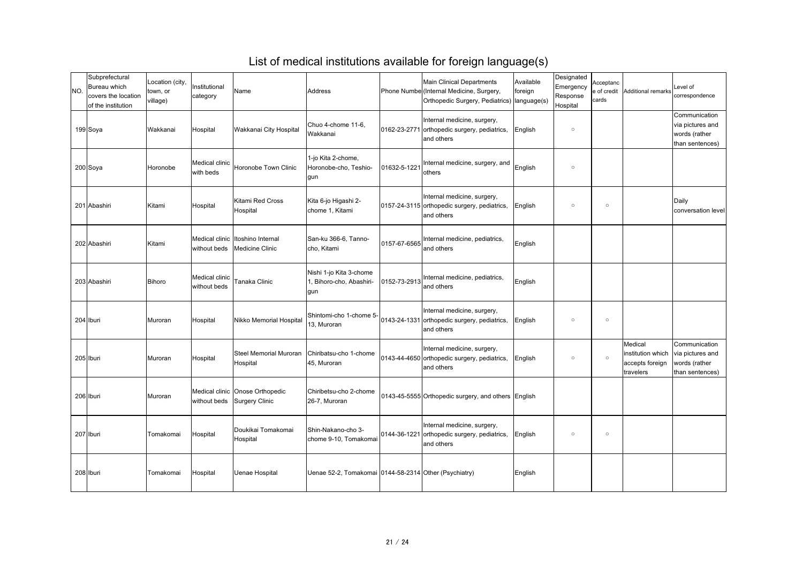| NO. | Subprefectural<br><b>Bureau which</b><br>covers the location<br>of the institution | Location (city,<br>town, or<br>village) | Institutional<br>category      | Name                                                           | Address                                                 |              | <b>Main Clinical Departments</b><br>Phone Numbe (Internal Medicine, Surgery,<br>Orthopedic Surgery, Pediatrics)   language(s) | Available<br>foreign | Designated<br>Emergency<br>Response<br>Hospital | Acceptanc<br>e of credit<br>cards | Additional remarks                                           | Level of<br>correspondence                                            |
|-----|------------------------------------------------------------------------------------|-----------------------------------------|--------------------------------|----------------------------------------------------------------|---------------------------------------------------------|--------------|-------------------------------------------------------------------------------------------------------------------------------|----------------------|-------------------------------------------------|-----------------------------------|--------------------------------------------------------------|-----------------------------------------------------------------------|
|     | 199 Soya                                                                           | <b>Wakkanai</b>                         | Hospital                       | <b>Wakkanai City Hospital</b>                                  | Chuo 4-chome 11-6,<br><b>Wakkanai</b>                   |              | Internal medicine, surgery,<br>0162-23-2771 orthopedic surgery, pediatrics,<br>and others                                     | English              | $\circ$                                         |                                   |                                                              | Communication<br>via pictures and<br>words (rather<br>than sentences) |
|     | 200 Soya                                                                           | Horonobe                                | Medical clinic<br>with beds    | Horonobe Town Clinic                                           | 1-jo Kita 2-chome,<br>Horonobe-cho, Teshio-<br>gun      | 01632-5-1221 | Internal medicine, surgery, and<br>others                                                                                     | English              | $\circ$                                         |                                   |                                                              |                                                                       |
|     | 201 Abashiri                                                                       | Kitami                                  | Hospital                       | Kitami Red Cross<br>Hospital                                   | Kita 6-jo Higashi 2-<br>chome 1, Kitami                 |              | Internal medicine, surgery,<br>0157-24-3115 orthopedic surgery, pediatrics,<br>and others                                     | English              | $\circ$                                         | $\circ$                           |                                                              | Daily<br>conversation level                                           |
|     | 202 Abashiri                                                                       | Kitami                                  | without beds                   | Medical clinic Itoshino Internal<br>Medicine Clinic            | San-ku 366-6, Tanno-<br>cho, Kitami                     | 0157-67-6565 | Internal medicine, pediatrics,<br>and others                                                                                  | English              |                                                 |                                   |                                                              |                                                                       |
|     | 203 Abashiri                                                                       | Bihoro                                  | Medical clinic<br>without beds | Tanaka Clinic                                                  | Nishi 1-jo Kita 3-chome<br>Bihoro-cho, Abashiri-<br>gun | 0152-73-2913 | Internal medicine, pediatrics,<br>and others                                                                                  | English              |                                                 |                                   |                                                              |                                                                       |
|     | 204 Iburi                                                                          | Muroran                                 | Hospital                       | Nikko Memorial Hospital                                        | Shintomi-cho 1-chome 5-<br>13, Muroran                  |              | Internal medicine, surgery,<br>0143-24-1331 orthopedic surgery, pediatrics,<br>and others                                     | English              | $\circ$                                         | $\circ$                           |                                                              |                                                                       |
|     | 205 Iburi                                                                          | Muroran                                 | Hospital                       | <b>Steel Memorial Muroran</b><br>Hospital                      | Chiribatsu-cho 1-chome<br>45, Muroran                   |              | Internal medicine, surgery,<br>0143-44-4650 orthopedic surgery, pediatrics,<br>and others                                     | English              | $\circ$                                         | $\circ$                           | Medical<br>institution which<br>accepts foreign<br>travelers | Communication<br>via pictures and<br>words (rather<br>than sentences) |
|     | 206 Iburi                                                                          | Muroran                                 |                                | Medical clinic Onose Orthopedic<br>without beds Surgery Clinic | Chiribetsu-cho 2-chome<br>26-7, Muroran                 |              | 0143-45-5555 Orthopedic surgery, and others English                                                                           |                      |                                                 |                                   |                                                              |                                                                       |
|     | 207 Iburi                                                                          | Tomakomai                               | Hospital                       | Doukikai Tomakomai<br>Hospital                                 | Shin-Nakano-cho 3-<br>chome 9-10, Tomakomai             |              | Internal medicine, surgery,<br>0144-36-1221 orthopedic surgery, pediatrics,<br>and others                                     | English              | $\circ$                                         | $\circ$                           |                                                              |                                                                       |
|     | 208 Iburi                                                                          | Tomakomai                               | Hospital                       | Uenae Hospital                                                 | Uenae 52-2, Tomakomai 0144-58-2314 Other (Psychiatry)   |              |                                                                                                                               | English              |                                                 |                                   |                                                              |                                                                       |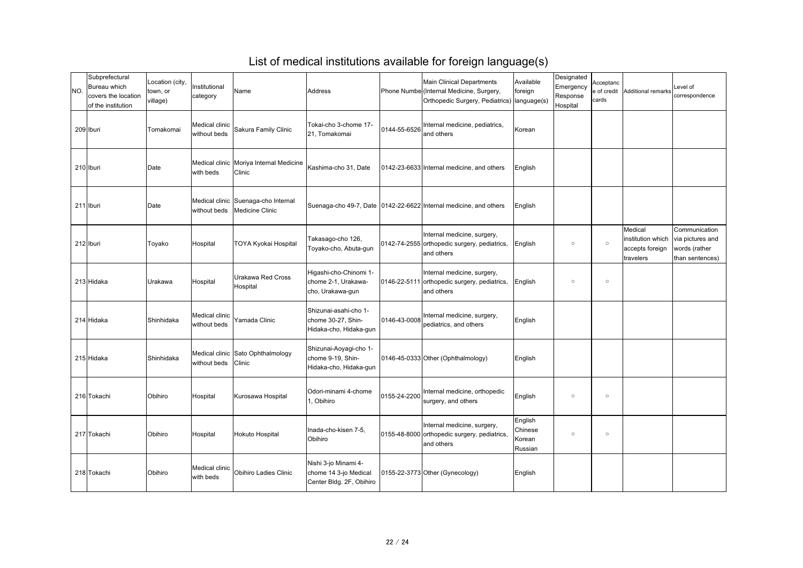| NO. | Subprefectural<br><b>Bureau which</b><br>covers the location<br>of the institution | Location (city,<br>town, or<br>village) | Institutional<br>category      | Name                                                   | Address                                                                   |              | <b>Main Clinical Departments</b><br>Phone Numbe (Internal Medicine, Surgery,<br>Orthopedic Surgery, Pediatrics)   language(s) | Available<br>foreign                    | Designated<br>Emergency<br>Response<br>Hospital | Acceptanc<br>e of credit<br>cards | Additional remarks                                           | Level of<br>correspondence                                            |
|-----|------------------------------------------------------------------------------------|-----------------------------------------|--------------------------------|--------------------------------------------------------|---------------------------------------------------------------------------|--------------|-------------------------------------------------------------------------------------------------------------------------------|-----------------------------------------|-------------------------------------------------|-----------------------------------|--------------------------------------------------------------|-----------------------------------------------------------------------|
|     | 209 Iburi                                                                          | Tomakomai                               | Medical clinic<br>without beds | <b>Sakura Family Clinic</b>                            | Tokai-cho 3-chome 17-<br>21, Tomakomai                                    | 0144-55-6526 | Internal medicine, pediatrics,<br>and others                                                                                  | Korean                                  |                                                 |                                   |                                                              |                                                                       |
|     | 210 Iburi                                                                          | Date                                    | with beds                      | Medical clinic   Moriya Internal Medicine<br>Clinic    | Kashima-cho 31, Date                                                      |              | 0142-23-6633 Internal medicine, and others                                                                                    | English                                 |                                                 |                                   |                                                              |                                                                       |
|     | 211 Iburi                                                                          | Date                                    | without beds                   | Medical clinic Suenaga-cho Internal<br>Medicine Clinic |                                                                           |              | Suenaga-cho 49-7, Date   0142-22-6622   Internal medicine, and others                                                         | English                                 |                                                 |                                   |                                                              |                                                                       |
|     | 212 Iburi                                                                          | Toyako                                  | Hospital                       | <b>TOYA Kyokai Hospital</b>                            | Takasago-cho 126,<br>Toyako-cho, Abuta-gun                                |              | Internal medicine, surgery,<br>0142-74-2555 orthopedic surgery, pediatrics,<br>and others                                     | English                                 | $\circ$                                         | $\circ$                           | Medical<br>institution which<br>accepts foreign<br>travelers | Communication<br>via pictures and<br>words (rather<br>than sentences) |
|     | 213 Hidaka                                                                         | Urakawa                                 | Hospital                       | <b>Urakawa Red Cross</b><br>Hospital                   | Higashi-cho-Chinomi 1-<br>chome 2-1, Urakawa-<br>cho, Urakawa-gun         |              | Internal medicine, surgery,<br>0146-22-5111 orthopedic surgery, pediatrics,<br>and others                                     | English                                 | $\circ$                                         | $\circ$                           |                                                              |                                                                       |
|     | 214 Hidaka                                                                         | Shinhidaka                              | Medical clinic<br>without beds | Yamada Clinic                                          | Shizunai-asahi-cho 1-<br>chome 30-27, Shin-<br>Hidaka-cho, Hidaka-gun     | 0146-43-0008 | Internal medicine, surgery,<br>pediatrics, and others                                                                         | English                                 |                                                 |                                   |                                                              |                                                                       |
|     | 215 Hidaka                                                                         | Shinhidaka                              | without beds                   | Medical clinic Sato Ophthalmology<br><b>Clinic</b>     | Shizunai-Aoyagi-cho 1-<br>chome 9-19, Shin-<br>Hidaka-cho, Hidaka-gun     |              | [0146-45-0333] Other (Ophthalmology)                                                                                          | English                                 |                                                 |                                   |                                                              |                                                                       |
|     | 216 Tokachi                                                                        | Obihiro                                 | Hospital                       | Kurosawa Hospital                                      | <b>Odori-minami 4-chome</b><br>, Obihiro                                  | 0155-24-2200 | Internal medicine, orthopedic<br>surgery, and others                                                                          | English                                 | $\circ$                                         | $\circ$                           |                                                              |                                                                       |
|     | 217 Tokachi                                                                        | Obihiro                                 | Hospital                       | Hokuto Hospital                                        | Inada-cho-kisen 7-5,<br>Obihiro                                           |              | Internal medicine, surgery,<br>0155-48-8000 orthopedic surgery, pediatrics,<br>and others                                     | English<br>Chinese<br>Korean<br>Russian | $\circ$                                         | $\circ$                           |                                                              |                                                                       |
|     | 218 Tokachi                                                                        | Obihiro                                 | Medical clinic<br>with beds    | <b>Obihiro Ladies Clinic</b>                           | Nishi 3-jo Minami 4-<br>chome 14 3-jo Medical<br>Center Bldg. 2F, Obihiro |              | 0155-22-3773 Other (Gynecology)                                                                                               | English                                 |                                                 |                                   |                                                              |                                                                       |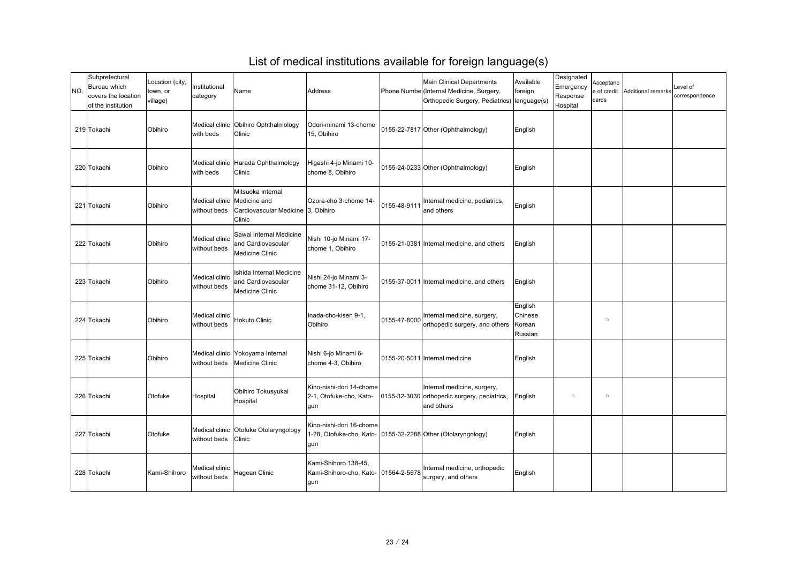| INO. | Subprefectural<br>Bureau which<br>covers the location<br>of the institution | Location (city,<br>town, or<br>village) | Institutional<br>category      | Name                                                                                               | <b>Address</b>                                                                                   |              | <b>Main Clinical Departments</b><br>Phone Numbe (Internal Medicine, Surgery,<br>Orthopedic Surgery, Pediatrics)   language(s) | Available<br>foreign                    | Designated<br>Emergency<br>Response<br>Hospital | Acceptanc<br>e of credit<br>cards | Additional remarks | Level of<br>correspondence |
|------|-----------------------------------------------------------------------------|-----------------------------------------|--------------------------------|----------------------------------------------------------------------------------------------------|--------------------------------------------------------------------------------------------------|--------------|-------------------------------------------------------------------------------------------------------------------------------|-----------------------------------------|-------------------------------------------------|-----------------------------------|--------------------|----------------------------|
|      | 219 Tokachi                                                                 | Obihiro                                 | with beds                      | Medical clinic Obihiro Ophthalmology<br>Clinic                                                     | Odori-minami 13-chome<br>15, Obihiro                                                             |              | 0155-22-7817 Other (Ophthalmology)                                                                                            | English                                 |                                                 |                                   |                    |                            |
|      | 220 Tokachi                                                                 | Obihiro                                 | with beds                      | Medical clinic Harada Ophthalmology<br>Clinic                                                      | Higashi 4-jo Minami 10-<br>chome 8, Obihiro                                                      |              | [0155-24-0233] Other (Ophthalmology)                                                                                          | English                                 |                                                 |                                   |                    |                            |
|      | 221 Tokachi                                                                 | Obihiro                                 | without beds                   | Mitsuoka Internal<br>Medical clinic   Medicine and<br>Cardiovascular Medicine 3, Obihiro<br>Clinic | <b>Ozora-cho 3-chome 14-</b>                                                                     | 0155-48-9111 | Internal medicine, pediatrics,<br>and others                                                                                  | English                                 |                                                 |                                   |                    |                            |
|      | 222 Tokachi                                                                 | Obihiro                                 | Medical clinic<br>without beds | Sawai Internal Medicine<br>and Cardiovascular<br><b>Medicine Clinic</b>                            | Nishi 10-jo Minami 17-<br>chome 1, Obihiro                                                       |              | 0155-21-0381 Internal medicine, and others                                                                                    | English                                 |                                                 |                                   |                    |                            |
|      | 223 Tokachi                                                                 | Obihiro                                 | Medical clinic<br>without beds | Ishida Internal Medicine<br>and Cardiovascular<br><b>Medicine Clinic</b>                           | Nishi 24-jo Minami 3-<br>chome 31-12, Obihiro                                                    |              | 0155-37-0011 Internal medicine, and others                                                                                    | English                                 |                                                 |                                   |                    |                            |
|      | 224 Tokachi                                                                 | Obihiro                                 | Medical clinic<br>without beds | Hokuto Clinic                                                                                      | Inada-cho-kisen 9-1,<br>Obihiro                                                                  | 0155-47-8000 | Internal medicine, surgery,<br>orthopedic surgery, and others                                                                 | English<br>Chinese<br>Korean<br>Russian |                                                 | $\circ$                           |                    |                            |
|      | 225 Tokachi                                                                 | Obihiro                                 | without beds                   | Medical clinic Yokoyama Internal<br><b>Medicine Clinic</b>                                         | Nishi 6-jo Minami 6-<br>chome 4-3, Obihiro                                                       |              | 0155-20-5011 Internal medicine                                                                                                | English                                 |                                                 |                                   |                    |                            |
|      | 226 Tokachi                                                                 | Otofuke                                 | Hospital                       | Obihiro Tokusyukai<br>Hospital                                                                     | Kino-nishi-dori 14-chome<br>2-1, Otofuke-cho, Kato-<br>gun                                       |              | Internal medicine, surgery,<br>0155-32-3030 orthopedic surgery, pediatrics,<br>and others                                     | English                                 | $\circ$                                         | $\circ$                           |                    |                            |
|      | 227 Tokachi                                                                 | Otofuke                                 | without beds                   | Medical clinic Otofuke Otolaryngology<br>Clinic                                                    | Kino-nishi-dori 16-chome<br>1-28, Otofuke-cho, Kato- 10155-32-2288 Other (Otolaryngology)<br>gun |              |                                                                                                                               | English                                 |                                                 |                                   |                    |                            |
|      | 228 Tokachi                                                                 | Kami-Shihoro                            | Medical clinic<br>without beds | Hagean Clinic                                                                                      | Kami-Shihoro 138-45,<br>Kami-Shihoro-cho, Kato-   01564-2-5678<br>gun                            |              | Internal medicine, orthopedic<br>surgery, and others                                                                          | English                                 |                                                 |                                   |                    |                            |